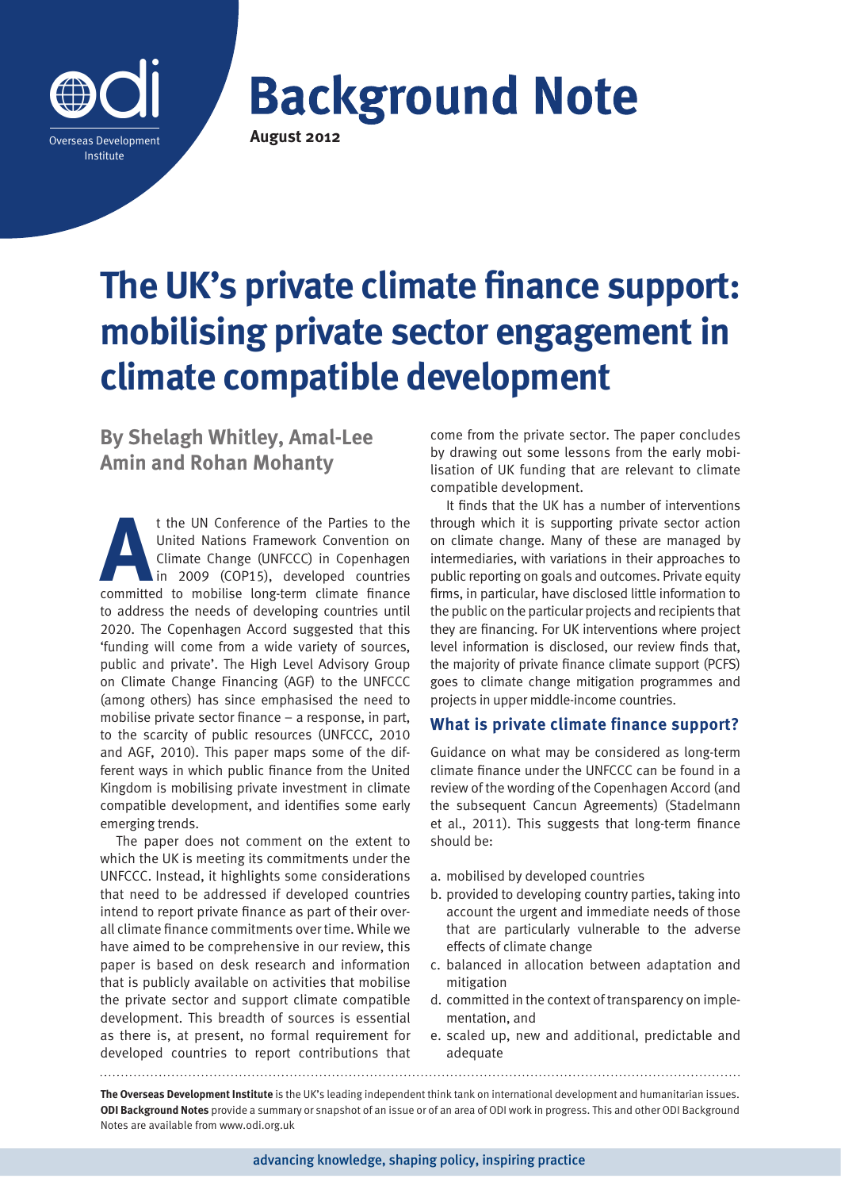

**Background Note August 2012**

# **The UK's private climate finance support: mobilising private sector engagement in climate compatible development**

**By Shelagh Whitley, Amal-Lee Amin and Rohan Mohanty**

t the UN Conference of the Parties to the<br>United Nations Framework Convention on<br>Climate Change (UNFCCC) in Copenhagen<br>in 2009 (COP15), developed countries<br>committed to mobilise long-term climate finance United Nations Framework Convention on Climate Change (UNFCCC) in Copenhagen in 2009 (COP15), developed countries committed to mobilise long-term climate finance to address the needs of developing countries until 2020. The Copenhagen Accord suggested that this 'funding will come from a wide variety of sources, public and private'. The High Level Advisory Group on Climate Change Financing (AGF) to the UNFCCC (among others) has since emphasised the need to mobilise private sector finance – a response, in part, to the scarcity of public resources (UNFCCC, 2010 and AGF, 2010). This paper maps some of the different ways in which public finance from the United Kingdom is mobilising private investment in climate compatible development, and identifies some early emerging trends.

The paper does not comment on the extent to which the UK is meeting its commitments under the UNFCCC. Instead, it highlights some considerations that need to be addressed if developed countries intend to report private finance as part of their overall climate finance commitments over time. While we have aimed to be comprehensive in our review, this paper is based on desk research and information that is publicly available on activities that mobilise the private sector and support climate compatible development. This breadth of sources is essential as there is, at present, no formal requirement for developed countries to report contributions that

come from the private sector. The paper concludes by drawing out some lessons from the early mobilisation of UK funding that are relevant to climate compatible development.

It finds that the UK has a number of interventions through which it is supporting private sector action on climate change. Many of these are managed by intermediaries, with variations in their approaches to public reporting on goals and outcomes. Private equity firms, in particular, have disclosed little information to the public on the particular projects and recipients that they are financing. For UK interventions where project level information is disclosed, our review finds that, the majority of private finance climate support (PCFS) goes to climate change mitigation programmes and projects in upper middle-income countries.

# **What is private climate finance support?**

Guidance on what may be considered as long-term climate finance under the UNFCCC can be found in a review of the wording of the Copenhagen Accord (and the subsequent Cancun Agreements) (Stadelmann et al., 2011). This suggests that long-term finance should be:

- a. mobilised by developed countries
- b. provided to developing country parties, taking into account the urgent and immediate needs of those that are particularly vulnerable to the adverse effects of climate change
- c. balanced in allocation between adaptation and mitigation
- d. committed in the context of transparency on implementation, and
- e. scaled up, new and additional, predictable and adequate

**The Overseas Development Institute** is the UK's leading independent think tank on international development and humanitarian issues. **ODI Background Notes** provide a summary or snapshot of an issue or of an area of ODI work in progress. This and other ODI Background Notes are available from www.odi.org.uk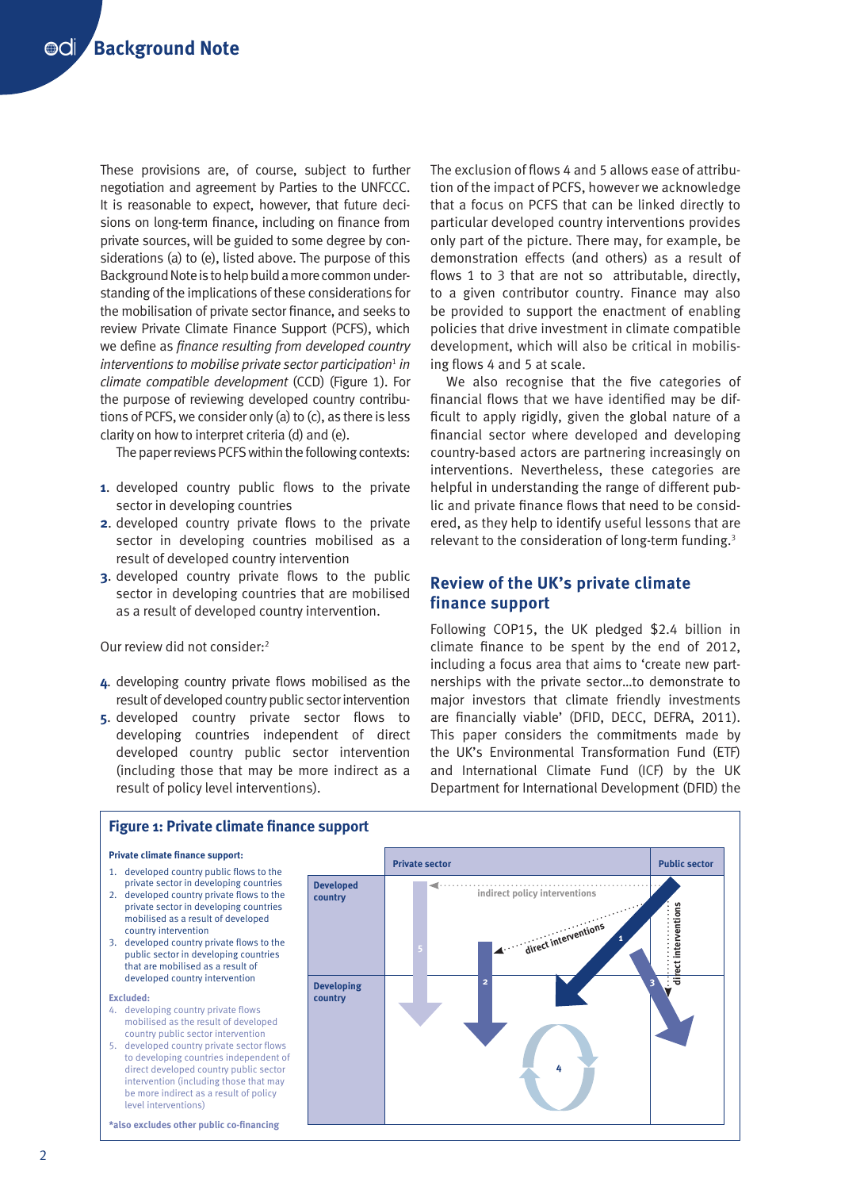These provisions are, of course, subject to further negotiation and agreement by Parties to the UNFCCC. It is reasonable to expect, however, that future decisions on long-term finance, including on finance from private sources, will be guided to some degree by considerations (a) to (e), listed above. The purpose of this Background Note is to help build a more common understanding of the implications of these considerations for the mobilisation of private sector finance, and seeks to review Private Climate Finance Support (PCFS), which we define as *finance resulting from developed country interventions to mobilise private sector participation<sup>1</sup> in climate compatible development* (CCD) (Figure 1). For the purpose of reviewing developed country contributions of PCFS, we consider only (a) to (c), as there is less clarity on how to interpret criteria (d) and (e).

The paper reviews PCFS within the following contexts:

- **1**. developed country public flows to the private sector in developing countries
- **2.** developed country private flows to the private sector in developing countries mobilised as a result of developed country intervention
- **3**. developed country private flows to the public sector in developing countries that are mobilised as a result of developed country intervention.

Our review did not consider:2

- **4**. developing country private flows mobilised as the result of developed country public sector intervention
- **5**. developed country private sector flows to developing countries independent of direct developed country public sector intervention (including those that may be more indirect as a result of policy level interventions).

The exclusion of flows 4 and 5 allows ease of attribution of the impact of PCFS, however we acknowledge that a focus on PCFS that can be linked directly to particular developed country interventions provides only part of the picture. There may, for example, be demonstration effects (and others) as a result of flows 1 to 3 that are not so attributable, directly, to a given contributor country. Finance may also be provided to support the enactment of enabling policies that drive investment in climate compatible development, which will also be critical in mobilising flows 4 and 5 at scale.

We also recognise that the five categories of financial flows that we have identified may be difficult to apply rigidly, given the global nature of a financial sector where developed and developing country-based actors are partnering increasingly on interventions. Nevertheless, these categories are helpful in understanding the range of different public and private finance flows that need to be considered, as they help to identify useful lessons that are relevant to the consideration of long-term funding.3

# **Review of the UK's private climate finance support**

Following COP15, the UK pledged \$2.4 billion in climate finance to be spent by the end of 2012, including a focus area that aims to 'create new partnerships with the private sector…to demonstrate to major investors that climate friendly investments are financially viable' (DFID, DECC, DEFRA, 2011). This paper considers the commitments made by the UK's Environmental Transformation Fund (ETF) and International Climate Fund (ICF) by the UK Department for International Development (DFID) the



#### **Figure 1: Private climate finance support**

- 
- 2. developed country private flows to the
- 3. developed country private flows to the

**Excluded:** 

- 
-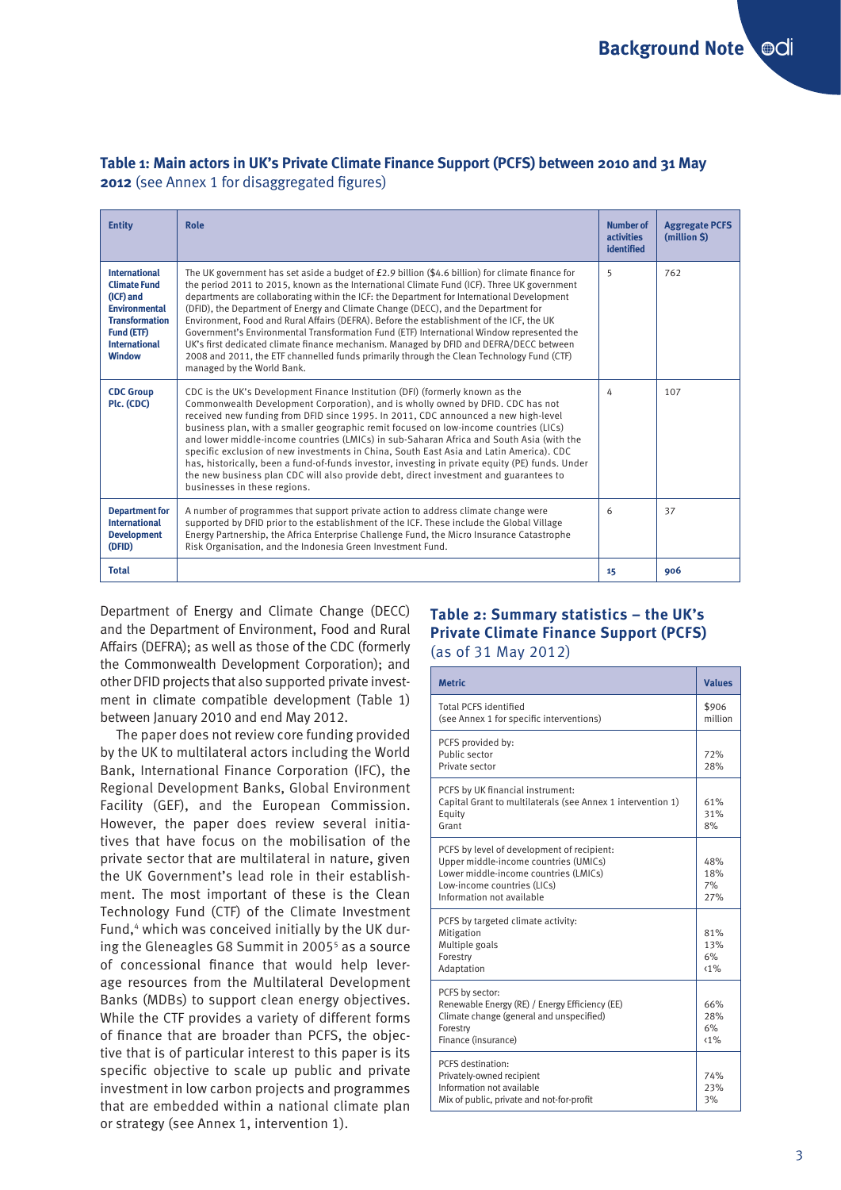| <b>Entity</b>                                                                                                                                                    | Role                                                                                                                                                                                                                                                                                                                                                                                                                                                                                                                                                                                                                                                                                                                                                                                              | <b>Number of</b><br><b>activities</b><br>identified | <b>Aggregate PCFS</b><br>(million \$) |
|------------------------------------------------------------------------------------------------------------------------------------------------------------------|---------------------------------------------------------------------------------------------------------------------------------------------------------------------------------------------------------------------------------------------------------------------------------------------------------------------------------------------------------------------------------------------------------------------------------------------------------------------------------------------------------------------------------------------------------------------------------------------------------------------------------------------------------------------------------------------------------------------------------------------------------------------------------------------------|-----------------------------------------------------|---------------------------------------|
| <b>International</b><br><b>Climate Fund</b><br>(ICF) and<br><b>Environmental</b><br><b>Transformation</b><br>Fund (ETF)<br><b>International</b><br><b>Window</b> | The UK government has set aside a budget of £2.9 billion (\$4.6 billion) for climate finance for<br>the period 2011 to 2015, known as the International Climate Fund (ICF). Three UK government<br>departments are collaborating within the ICF: the Department for International Development<br>(DFID), the Department of Energy and Climate Change (DECC), and the Department for<br>Environment, Food and Rural Affairs (DEFRA). Before the establishment of the ICF, the UK<br>Government's Environmental Transformation Fund (ETF) International Window represented the<br>UK's first dedicated climate finance mechanism. Managed by DFID and DEFRA/DECC between<br>2008 and 2011, the ETF channelled funds primarily through the Clean Technology Fund (CTF)<br>managed by the World Bank. | 5                                                   | 762                                   |
| <b>CDC Group</b><br>Plc. (CDC)                                                                                                                                   | CDC is the UK's Development Finance Institution (DFI) (formerly known as the<br>Commonwealth Development Corporation), and is wholly owned by DFID. CDC has not<br>received new funding from DFID since 1995. In 2011, CDC announced a new high-level<br>business plan, with a smaller geographic remit focused on low-income countries (LICs)<br>and lower middle-income countries (LMICs) in sub-Saharan Africa and South Asia (with the<br>specific exclusion of new investments in China, South East Asia and Latin America). CDC<br>has, historically, been a fund-of-funds investor, investing in private equity (PE) funds. Under<br>the new business plan CDC will also provide debt, direct investment and guarantees to<br>businesses in these regions.                                 | 4                                                   | 107                                   |
| <b>Department for</b><br><b>International</b><br><b>Development</b><br>(DFID)                                                                                    | A number of programmes that support private action to address climate change were<br>supported by DFID prior to the establishment of the ICF. These include the Global Village<br>Energy Partnership, the Africa Enterprise Challenge Fund, the Micro Insurance Catastrophe<br>Risk Organisation, and the Indonesia Green Investment Fund.                                                                                                                                                                                                                                                                                                                                                                                                                                                        |                                                     | 37                                    |
| <b>Total</b>                                                                                                                                                     |                                                                                                                                                                                                                                                                                                                                                                                                                                                                                                                                                                                                                                                                                                                                                                                                   | 15                                                  | 906                                   |

# **Table 1: Main actors in UK's Private Climate Finance Support (PCFS) between 2010 and 31 May 2012** (see Annex 1 for disaggregated figures)

Department of Energy and Climate Change (DECC) and the Department of Environment, Food and Rural Affairs (DEFRA); as well as those of the CDC (formerly the Commonwealth Development Corporation); and other DFID projects that also supported private investment in climate compatible development (Table 1) between January 2010 and end May 2012.

The paper does not review core funding provided by the UK to multilateral actors including the World Bank, International Finance Corporation (IFC), the Regional Development Banks, Global Environment Facility (GEF), and the European Commission. However, the paper does review several initiatives that have focus on the mobilisation of the private sector that are multilateral in nature, given the UK Government's lead role in their establishment. The most important of these is the Clean Technology Fund (CTF) of the Climate Investment Fund,<sup>4</sup> which was conceived initially by the UK during the Gleneagles G8 Summit in 2005<sup>5</sup> as a source of concessional finance that would help leverage resources from the Multilateral Development Banks (MDBs) to support clean energy objectives. While the CTF provides a variety of different forms of finance that are broader than PCFS, the objective that is of particular interest to this paper is its specific objective to scale up public and private investment in low carbon projects and programmes that are embedded within a national climate plan or strategy (see Annex 1, intervention 1).

# **Table 2: Summary statistics – the UK's Private Climate Finance Support (PCFS)**  (as of 31 May 2012)

| <b>Metric</b>                                                                                                                                                                            | <b>Values</b>           |
|------------------------------------------------------------------------------------------------------------------------------------------------------------------------------------------|-------------------------|
| <b>Total PCFS identified</b><br>(see Annex 1 for specific interventions)                                                                                                                 | \$906<br>million        |
| PCFS provided by:<br>Public sector<br>Private sector                                                                                                                                     | 72%<br>28%              |
| PCFS by UK financial instrument:<br>Capital Grant to multilaterals (see Annex 1 intervention 1)<br>Equity<br>Grant                                                                       | 61%<br>31%<br>8%        |
| PCFS by level of development of recipient:<br>Upper middle-income countries (UMICs)<br>Lower middle-income countries (LMICs)<br>Low-income countries (LICs)<br>Information not available | 48%<br>18%<br>7%<br>27% |
| PCFS by targeted climate activity:<br>Mitigation<br>Multiple goals<br>Forestry<br>Adaptation                                                                                             | 81%<br>13%<br>6%<br>(1% |
| PCFS by sector:<br>Renewable Energy (RE) / Energy Efficiency (EE)<br>Climate change (general and unspecified)<br>Forestry<br>Finance (insurance)                                         | 66%<br>28%<br>6%<br>(1% |
| PCFS destination:<br>Privately-owned recipient<br>Information not available<br>Mix of public, private and not-for-profit                                                                 | 74%<br>23%<br>3%        |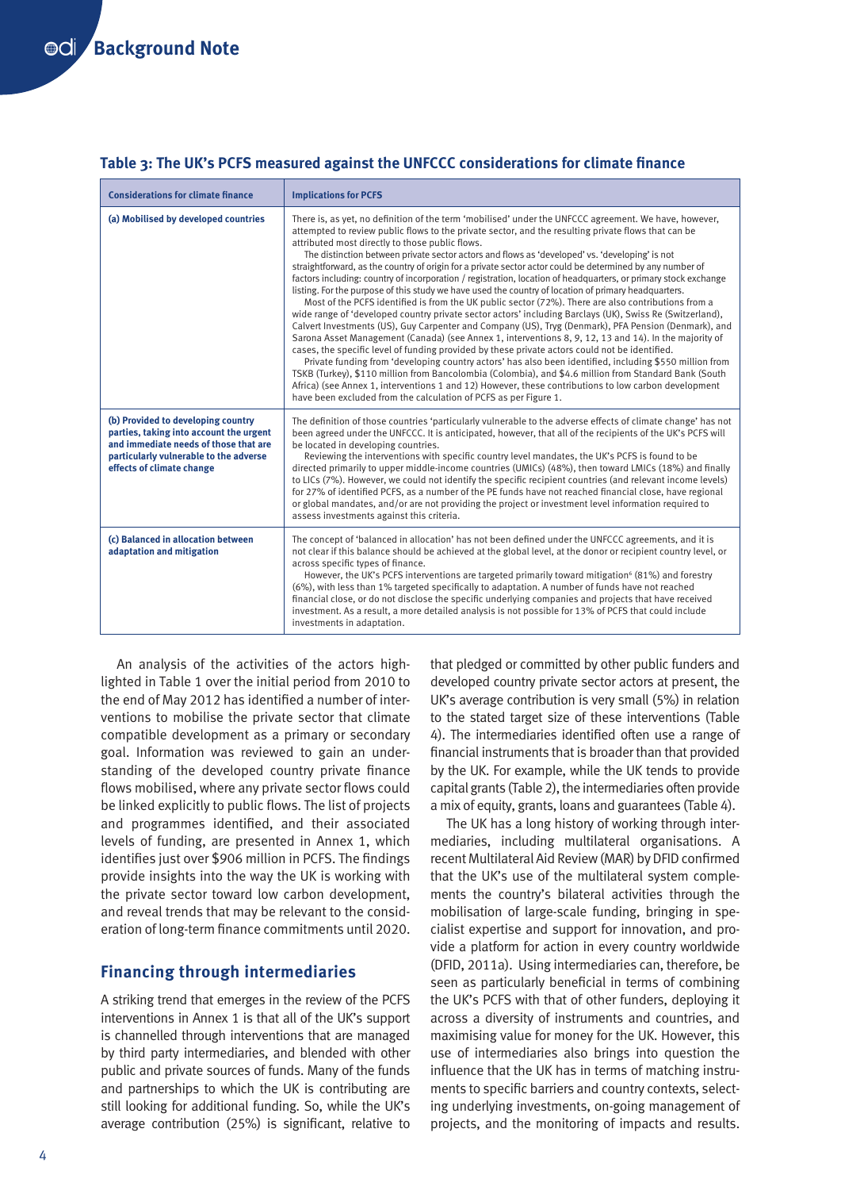| <b>Considerations for climate finance</b>                                                                                                                                                     | <b>Implications for PCFS</b>                                                                                                                                                                                                                                                                                                                                                                                                                                                                                                                                                                                                                                                                                                                                                                                                                                                                                                                                                                                                                                                                                                                                                                                                                                                                                                                                                                                                                                                                                                                                                                                                                    |
|-----------------------------------------------------------------------------------------------------------------------------------------------------------------------------------------------|-------------------------------------------------------------------------------------------------------------------------------------------------------------------------------------------------------------------------------------------------------------------------------------------------------------------------------------------------------------------------------------------------------------------------------------------------------------------------------------------------------------------------------------------------------------------------------------------------------------------------------------------------------------------------------------------------------------------------------------------------------------------------------------------------------------------------------------------------------------------------------------------------------------------------------------------------------------------------------------------------------------------------------------------------------------------------------------------------------------------------------------------------------------------------------------------------------------------------------------------------------------------------------------------------------------------------------------------------------------------------------------------------------------------------------------------------------------------------------------------------------------------------------------------------------------------------------------------------------------------------------------------------|
| (a) Mobilised by developed countries                                                                                                                                                          | There is, as yet, no definition of the term 'mobilised' under the UNFCCC agreement. We have, however,<br>attempted to review public flows to the private sector, and the resulting private flows that can be<br>attributed most directly to those public flows.<br>The distinction between private sector actors and flows as 'developed' vs. 'developing' is not<br>straightforward, as the country of origin for a private sector actor could be determined by any number of<br>factors including: country of incorporation / registration, location of headquarters, or primary stock exchange<br>listing. For the purpose of this study we have used the country of location of primary headquarters.<br>Most of the PCFS identified is from the UK public sector (72%). There are also contributions from a<br>wide range of 'developed country private sector actors' including Barclays (UK), Swiss Re (Switzerland),<br>Calvert Investments (US), Guy Carpenter and Company (US), Tryg (Denmark), PFA Pension (Denmark), and<br>Sarona Asset Management (Canada) (see Annex 1, interventions 8, 9, 12, 13 and 14). In the majority of<br>cases, the specific level of funding provided by these private actors could not be identified.<br>Private funding from 'developing country actors' has also been identified, including \$550 million from<br>TSKB (Turkey), \$110 million from Bancolombia (Colombia), and \$4.6 million from Standard Bank (South<br>Africa) (see Annex 1, interventions 1 and 12) However, these contributions to low carbon development<br>have been excluded from the calculation of PCFS as per Figure 1. |
| (b) Provided to developing country<br>parties, taking into account the urgent<br>and immediate needs of those that are<br>particularly vulnerable to the adverse<br>effects of climate change | The definition of those countries 'particularly vulnerable to the adverse effects of climate change' has not<br>been agreed under the UNFCCC. It is anticipated, however, that all of the recipients of the UK's PCFS will<br>be located in developing countries.<br>Reviewing the interventions with specific country level mandates, the UK's PCFS is found to be<br>directed primarily to upper middle-income countries (UMICs) (48%), then toward LMICs (18%) and finally<br>to LICs (7%). However, we could not identify the specific recipient countries (and relevant income levels)<br>for 27% of identified PCFS, as a number of the PE funds have not reached financial close, have regional<br>or global mandates, and/or are not providing the project or investment level information required to<br>assess investments against this criteria.                                                                                                                                                                                                                                                                                                                                                                                                                                                                                                                                                                                                                                                                                                                                                                                     |
| (c) Balanced in allocation between<br>adaptation and mitigation                                                                                                                               | The concept of 'balanced in allocation' has not been defined under the UNFCCC agreements, and it is<br>not clear if this balance should be achieved at the global level, at the donor or recipient country level, or<br>across specific types of finance.<br>However, the UK's PCFS interventions are targeted primarily toward mitigation <sup>6</sup> (81%) and forestry<br>(6%), with less than 1% targeted specifically to adaptation. A number of funds have not reached<br>financial close, or do not disclose the specific underlying companies and projects that have received<br>investment. As a result, a more detailed analysis is not possible for 13% of PCFS that could include<br>investments in adaptation.                                                                                                                                                                                                                                                                                                                                                                                                                                                                                                                                                                                                                                                                                                                                                                                                                                                                                                                    |

#### **Table 3: The UK's PCFS measured against the UNFCCC considerations for climate finance**

An analysis of the activities of the actors highlighted in Table 1 over the initial period from 2010 to the end of May 2012 has identified a number of interventions to mobilise the private sector that climate compatible development as a primary or secondary goal. Information was reviewed to gain an understanding of the developed country private finance flows mobilised, where any private sector flows could be linked explicitly to public flows. The list of projects and programmes identified, and their associated levels of funding, are presented in Annex 1, which identifies just over \$906 million in PCFS. The findings provide insights into the way the UK is working with the private sector toward low carbon development, and reveal trends that may be relevant to the consideration of long-term finance commitments until 2020.

# **Financing through intermediaries**

A striking trend that emerges in the review of the PCFS interventions in Annex 1 is that all of the UK's support is channelled through interventions that are managed by third party intermediaries, and blended with other public and private sources of funds. Many of the funds and partnerships to which the UK is contributing are still looking for additional funding. So, while the UK's average contribution (25%) is significant, relative to that pledged or committed by other public funders and developed country private sector actors at present, the UK's average contribution is very small (5%) in relation to the stated target size of these interventions (Table 4). The intermediaries identified often use a range of financial instruments that is broader than that provided by the UK. For example, while the UK tends to provide capital grants (Table 2), the intermediaries often provide a mix of equity, grants, loans and guarantees (Table 4).

The UK has a long history of working through intermediaries, including multilateral organisations. A recent Multilateral Aid Review (MAR) by DFID confirmed that the UK's use of the multilateral system complements the country's bilateral activities through the mobilisation of large-scale funding, bringing in specialist expertise and support for innovation, and provide a platform for action in every country worldwide (DFID, 2011a). Using intermediaries can, therefore, be seen as particularly beneficial in terms of combining the UK's PCFS with that of other funders, deploying it across a diversity of instruments and countries, and maximising value for money for the UK. However, this use of intermediaries also brings into question the influence that the UK has in terms of matching instruments to specific barriers and country contexts, selecting underlying investments, on-going management of projects, and the monitoring of impacts and results.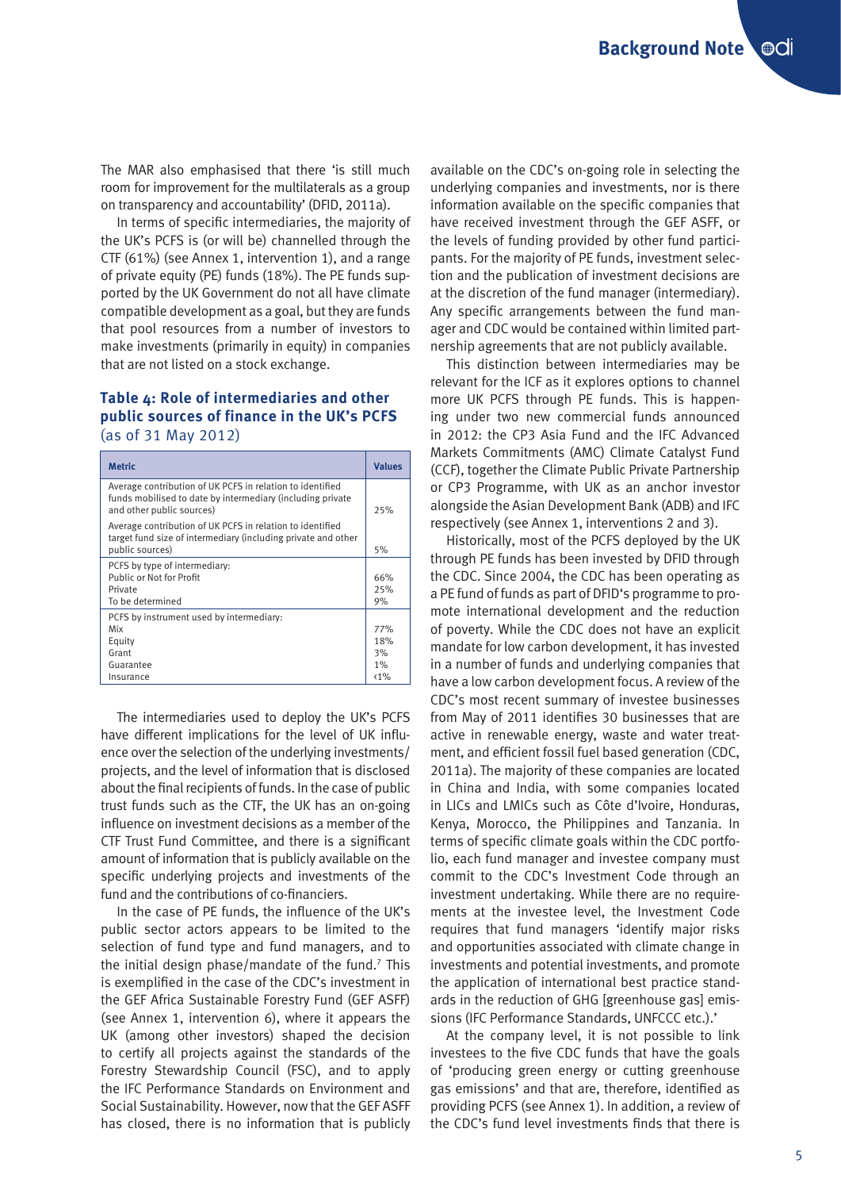The MAR also emphasised that there 'is still much room for improvement for the multilaterals as a group on transparency and accountability' (DFID, 2011a).

In terms of specific intermediaries, the majority of the UK's PCFS is (or will be) channelled through the CTF (61%) (see Annex 1, intervention 1), and a range of private equity (PE) funds (18%). The PE funds supported by the UK Government do not all have climate compatible development as a goal, but they are funds that pool resources from a number of investors to make investments (primarily in equity) in companies that are not listed on a stock exchange.

#### **Table 4: Role of intermediaries and other public sources of finance in the UK's PCFS**  (as of 31 May 2012)

| <b>Metric</b>                                                                                                                                        | <b>Values</b> |
|------------------------------------------------------------------------------------------------------------------------------------------------------|---------------|
| Average contribution of UK PCFS in relation to identified<br>funds mobilised to date by intermediary (including private<br>and other public sources) | 25%           |
| Average contribution of UK PCFS in relation to identified<br>target fund size of intermediary (including private and other<br>public sources)        | 5%            |
| PCFS by type of intermediary:                                                                                                                        |               |
| Public or Not for Profit                                                                                                                             | 66%           |
| Private                                                                                                                                              | 25%           |
| To be determined                                                                                                                                     | 9%            |
| PCFS by instrument used by intermediary:                                                                                                             |               |
| Mix                                                                                                                                                  | 77%           |
| Equity                                                                                                                                               | 18%           |
| Grant                                                                                                                                                | 3%            |
| Guarantee                                                                                                                                            | 1%            |
| Insurance                                                                                                                                            | $< 1\%$       |
|                                                                                                                                                      |               |

The intermediaries used to deploy the UK's PCFS have different implications for the level of UK influence over the selection of the underlying investments/ projects, and the level of information that is disclosed about the final recipients of funds. In the case of public trust funds such as the CTF, the UK has an on-going influence on investment decisions as a member of the CTF Trust Fund Committee, and there is a significant amount of information that is publicly available on the specific underlying projects and investments of the fund and the contributions of co-financiers.

In the case of PE funds, the influence of the UK's public sector actors appears to be limited to the selection of fund type and fund managers, and to the initial design phase/mandate of the fund.<sup>7</sup> This is exemplified in the case of the CDC's investment in the GEF Africa Sustainable Forestry Fund (GEF ASFF) (see Annex 1, intervention 6), where it appears the UK (among other investors) shaped the decision to certify all projects against the standards of the Forestry Stewardship Council (FSC), and to apply the IFC Performance Standards on Environment and Social Sustainability. However, now that the GEF ASFF has closed, there is no information that is publicly

available on the CDC's on-going role in selecting the underlying companies and investments, nor is there information available on the specific companies that have received investment through the GEF ASFF, or the levels of funding provided by other fund participants. For the majority of PE funds, investment selection and the publication of investment decisions are at the discretion of the fund manager (intermediary). Any specific arrangements between the fund manager and CDC would be contained within limited partnership agreements that are not publicly available.

This distinction between intermediaries may be relevant for the ICF as it explores options to channel more UK PCFS through PE funds. This is happening under two new commercial funds announced in 2012: the CP3 Asia Fund and the IFC Advanced Markets Commitments (AMC) Climate Catalyst Fund (CCF), together the Climate Public Private Partnership or CP3 Programme, with UK as an anchor investor alongside the Asian Development Bank (ADB) and IFC respectively (see Annex 1, interventions 2 and 3).

Historically, most of the PCFS deployed by the UK through PE funds has been invested by DFID through the CDC. Since 2004, the CDC has been operating as a PE fund of funds as part of DFID's programme to promote international development and the reduction of poverty. While the CDC does not have an explicit mandate for low carbon development, it has invested in a number of funds and underlying companies that have a low carbon development focus. A review of the CDC's most recent summary of investee businesses from May of 2011 identifies 30 businesses that are active in renewable energy, waste and water treatment, and efficient fossil fuel based generation (CDC, 2011a). The majority of these companies are located in China and India, with some companies located in LICs and LMICs such as Côte d'Ivoire, Honduras, Kenya, Morocco, the Philippines and Tanzania. In terms of specific climate goals within the CDC portfolio, each fund manager and investee company must commit to the CDC's Investment Code through an investment undertaking. While there are no requirements at the investee level, the Investment Code requires that fund managers 'identify major risks and opportunities associated with climate change in investments and potential investments, and promote the application of international best practice standards in the reduction of GHG [greenhouse gas] emissions (IFC Performance Standards, UNFCCC etc.).'

At the company level, it is not possible to link investees to the five CDC funds that have the goals of 'producing green energy or cutting greenhouse gas emissions' and that are, therefore, identified as providing PCFS (see Annex 1). In addition, a review of the CDC's fund level investments finds that there is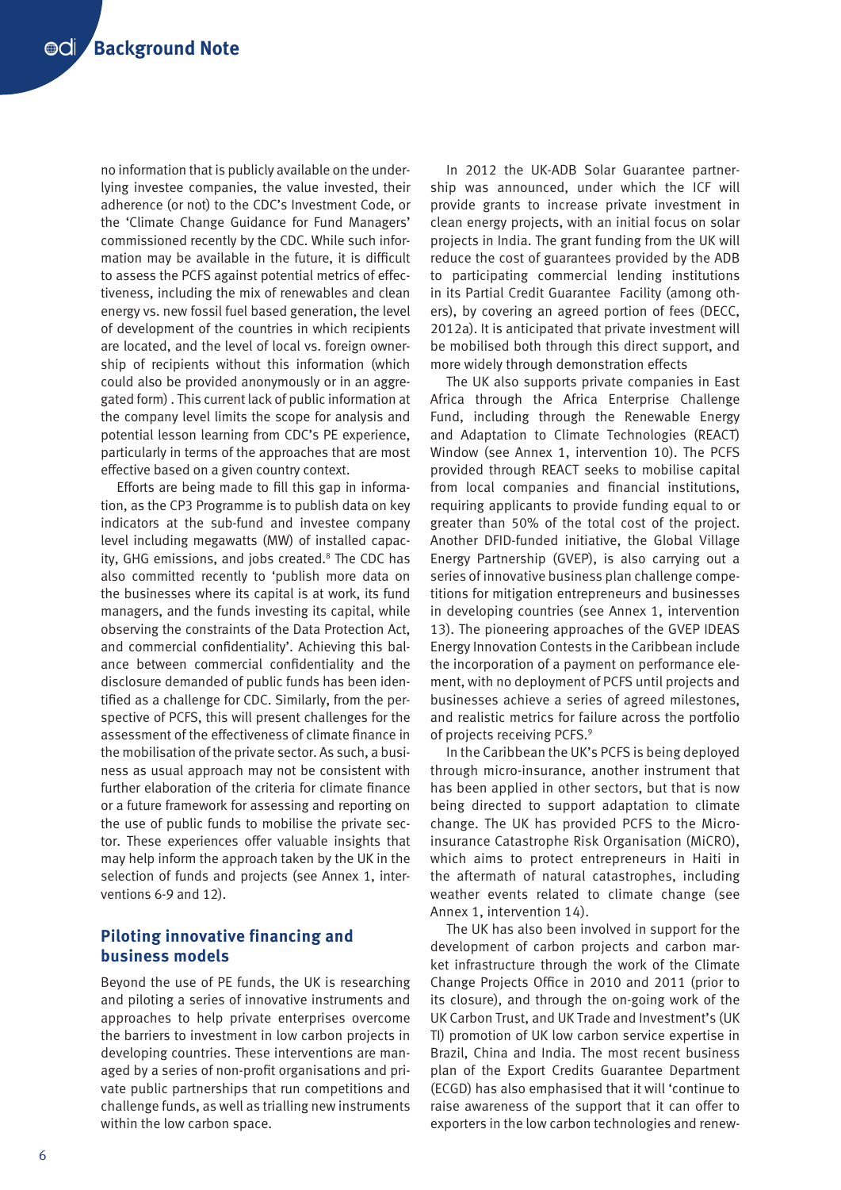no information that is publicly available on the underlying investee companies, the value invested, their adherence (or not) to the CDC's Investment Code, or the 'Climate Change Guidance for Fund Managers' commissioned recently by the CDC. While such information may be available in the future, it is difficult to assess the PCFS against potential metrics of effectiveness, including the mix of renewables and clean energy vs. new fossil fuel based generation, the level of development of the countries in which recipients are located, and the level of local vs. foreign ownership of recipients without this information (which could also be provided anonymously or in an aggregated form) . This current lack of public information at the company level limits the scope for analysis and potential lesson learning from CDC's PE experience, particularly in terms of the approaches that are most effective based on a given country context.

Efforts are being made to fill this gap in information, as the CP3 Programme is to publish data on key indicators at the sub-fund and investee company level including megawatts (MW) of installed capacity, GHG emissions, and jobs created.<sup>8</sup> The CDC has also committed recently to 'publish more data on the businesses where its capital is at work, its fund managers, and the funds investing its capital, while observing the constraints of the Data Protection Act, and commercial confidentiality'. Achieving this balance between commercial confidentiality and the disclosure demanded of public funds has been identified as a challenge for CDC. Similarly, from the perspective of PCFS, this will present challenges for the assessment of the effectiveness of climate finance in the mobilisation of the private sector. As such, a business as usual approach may not be consistent with further elaboration of the criteria for climate finance or a future framework for assessing and reporting on the use of public funds to mobilise the private sector. These experiences offer valuable insights that may help inform the approach taken by the UK in the selection of funds and projects (see Annex 1, interventions 6-9 and 12).

# **Piloting innovative financing and business models**

Beyond the use of PE funds, the UK is researching and piloting a series of innovative instruments and approaches to help private enterprises overcome the barriers to investment in low carbon projects in developing countries. These interventions are managed by a series of non-profit organisations and private public partnerships that run competitions and challenge funds, as well as trialling new instruments within the low carbon space.

In 2012 the UK-ADB Solar Guarantee partnership was announced, under which the ICF will provide grants to increase private investment in clean energy projects, with an initial focus on solar projects in India. The grant funding from the UK will reduce the cost of guarantees provided by the ADB to participating commercial lending institutions in its Partial Credit Guarantee Facility (among others), by covering an agreed portion of fees (DECC, 2012a). It is anticipated that private investment will be mobilised both through this direct support, and more widely through demonstration effects

The UK also supports private companies in East Africa through the Africa Enterprise Challenge Fund, including through the Renewable Energy and Adaptation to Climate Technologies (REACT) Window (see Annex 1, intervention 10). The PCFS provided through REACT seeks to mobilise capital from local companies and financial institutions, requiring applicants to provide funding equal to or greater than 50% of the total cost of the project. Another DFID-funded initiative, the Global Village Energy Partnership (GVEP), is also carrying out a series of innovative business plan challenge competitions for mitigation entrepreneurs and businesses in developing countries (see Annex 1, intervention 13). The pioneering approaches of the GVEP IDEAS Energy Innovation Contests in the Caribbean include the incorporation of a payment on performance element, with no deployment of PCFS until projects and businesses achieve a series of agreed milestones, and realistic metrics for failure across the portfolio of projects receiving PCFS.<sup>9</sup>

In the Caribbean the UK's PCFS is being deployed through micro-insurance, another instrument that has been applied in other sectors, but that is now being directed to support adaptation to climate change. The UK has provided PCFS to the Microinsurance Catastrophe Risk Organisation (MiCRO), which aims to protect entrepreneurs in Haiti in the aftermath of natural catastrophes, including weather events related to climate change (see Annex 1, intervention 14).

The UK has also been involved in support for the development of carbon projects and carbon market infrastructure through the work of the Climate Change Projects Office in 2010 and 2011 (prior to its closure), and through the on-going work of the UK Carbon Trust, and UK Trade and Investment's (UK TI) promotion of UK low carbon service expertise in Brazil, China and India. The most recent business plan of the Export Credits Guarantee Department (ECGD) has also emphasised that it will 'continue to raise awareness of the support that it can offer to exporters in the low carbon technologies and renew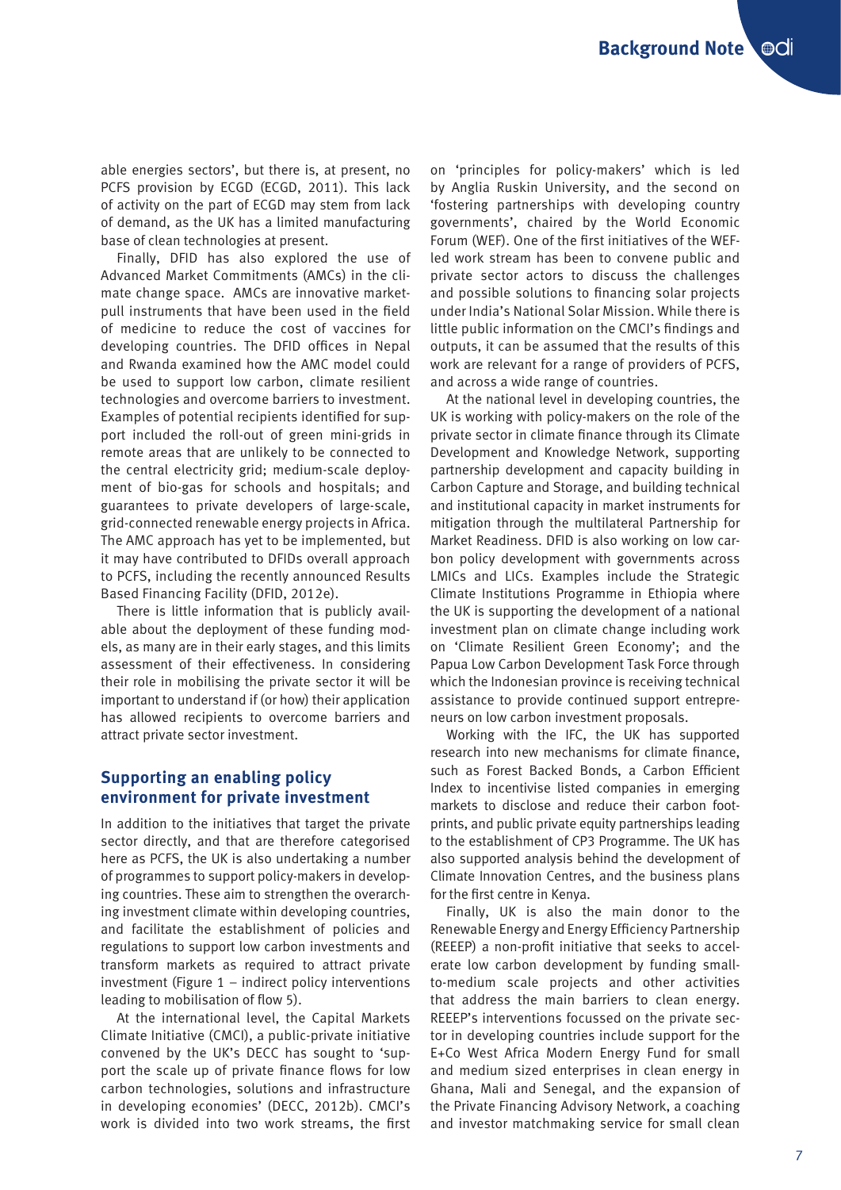able energies sectors', but there is, at present, no PCFS provision by ECGD (ECGD, 2011). This lack of activity on the part of ECGD may stem from lack of demand, as the UK has a limited manufacturing base of clean technologies at present.

Finally, DFID has also explored the use of Advanced Market Commitments (AMCs) in the climate change space. AMCs are innovative marketpull instruments that have been used in the field of medicine to reduce the cost of vaccines for developing countries. The DFID offices in Nepal and Rwanda examined how the AMC model could be used to support low carbon, climate resilient technologies and overcome barriers to investment. Examples of potential recipients identified for support included the roll-out of green mini-grids in remote areas that are unlikely to be connected to the central electricity grid; medium-scale deployment of bio-gas for schools and hospitals; and guarantees to private developers of large-scale, grid-connected renewable energy projects in Africa. The AMC approach has yet to be implemented, but it may have contributed to DFIDs overall approach to PCFS, including the recently announced Results Based Financing Facility (DFID, 2012e).

There is little information that is publicly available about the deployment of these funding models, as many are in their early stages, and this limits assessment of their effectiveness. In considering their role in mobilising the private sector it will be important to understand if (or how) their application has allowed recipients to overcome barriers and attract private sector investment.

# **Supporting an enabling policy environment for private investment**

In addition to the initiatives that target the private sector directly, and that are therefore categorised here as PCFS, the UK is also undertaking a number of programmes to support policy-makers in developing countries. These aim to strengthen the overarching investment climate within developing countries, and facilitate the establishment of policies and regulations to support low carbon investments and transform markets as required to attract private investment (Figure 1 – indirect policy interventions leading to mobilisation of flow 5).

At the international level, the Capital Markets Climate Initiative (CMCI), a public-private initiative convened by the UK's DECC has sought to 'support the scale up of private finance flows for low carbon technologies, solutions and infrastructure in developing economies' (DECC, 2012b). CMCI's work is divided into two work streams, the first on 'principles for policy-makers' which is led by Anglia Ruskin University, and the second on 'fostering partnerships with developing country governments', chaired by the World Economic Forum (WEF). One of the first initiatives of the WEFled work stream has been to convene public and private sector actors to discuss the challenges and possible solutions to financing solar projects under India's National Solar Mission. While there is little public information on the CMCI's findings and outputs, it can be assumed that the results of this work are relevant for a range of providers of PCFS, and across a wide range of countries.

At the national level in developing countries, the UK is working with policy-makers on the role of the private sector in climate finance through its Climate Development and Knowledge Network, supporting partnership development and capacity building in Carbon Capture and Storage, and building technical and institutional capacity in market instruments for mitigation through the multilateral Partnership for Market Readiness. DFID is also working on low carbon policy development with governments across LMICs and LICs. Examples include the Strategic Climate Institutions Programme in Ethiopia where the UK is supporting the development of a national investment plan on climate change including work on 'Climate Resilient Green Economy'; and the Papua Low Carbon Development Task Force through which the Indonesian province is receiving technical assistance to provide continued support entrepreneurs on low carbon investment proposals.

Working with the IFC, the UK has supported research into new mechanisms for climate finance, such as Forest Backed Bonds, a Carbon Efficient Index to incentivise listed companies in emerging markets to disclose and reduce their carbon footprints, and public private equity partnerships leading to the establishment of CP3 Programme. The UK has also supported analysis behind the development of Climate Innovation Centres, and the business plans for the first centre in Kenya.

Finally, UK is also the main donor to the Renewable Energy and Energy Efficiency Partnership (REEEP) a non-profit initiative that seeks to accelerate low carbon development by funding smallto-medium scale projects and other activities that address the main barriers to clean energy. REEEP's interventions focussed on the private sector in developing countries include support for the E+Co West Africa Modern Energy Fund for small and medium sized enterprises in clean energy in Ghana, Mali and Senegal, and the expansion of the Private Financing Advisory Network, a coaching and investor matchmaking service for small clean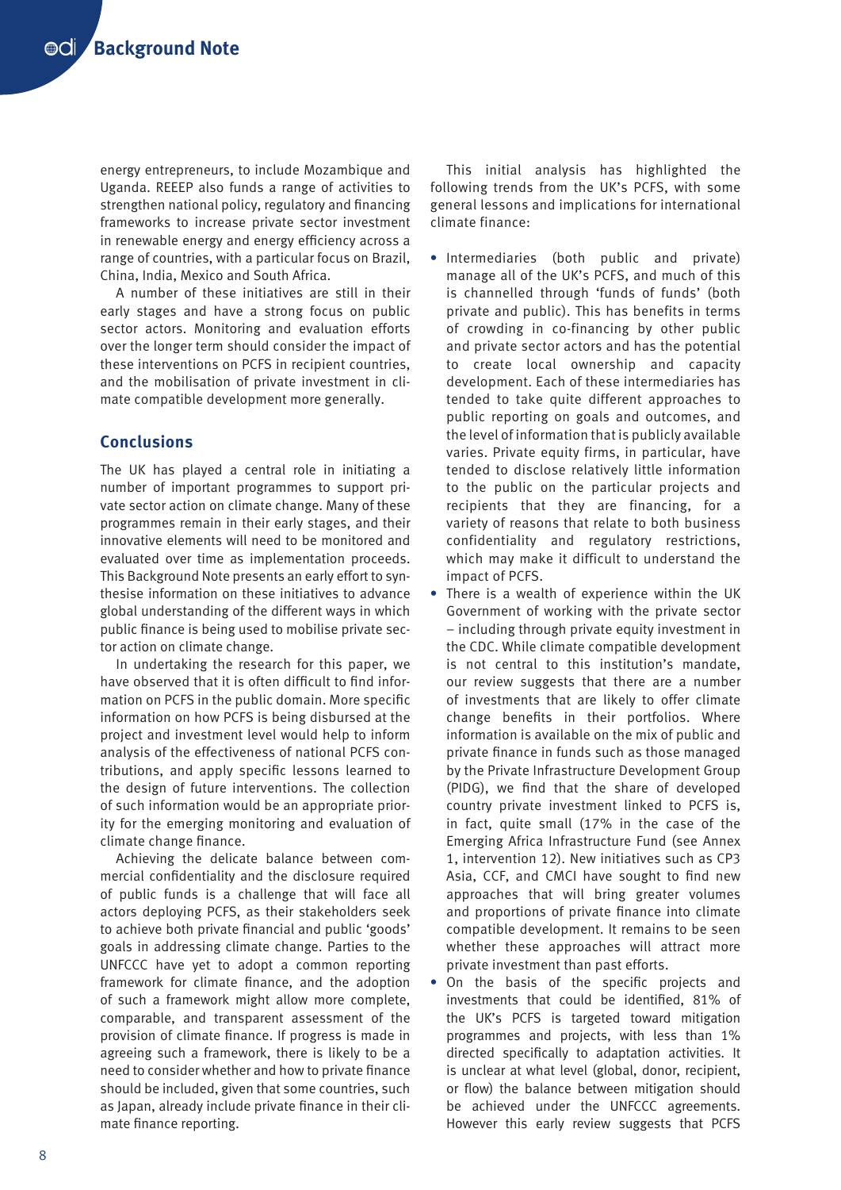energy entrepreneurs, to include Mozambique and Uganda. REEEP also funds a range of activities to strengthen national policy, regulatory and financing frameworks to increase private sector investment in renewable energy and energy efficiency across a range of countries, with a particular focus on Brazil, China, India, Mexico and South Africa.

A number of these initiatives are still in their early stages and have a strong focus on public sector actors. Monitoring and evaluation efforts over the longer term should consider the impact of these interventions on PCFS in recipient countries, and the mobilisation of private investment in climate compatible development more generally.

# **Conclusions**

The UK has played a central role in initiating a number of important programmes to support private sector action on climate change. Many of these programmes remain in their early stages, and their innovative elements will need to be monitored and evaluated over time as implementation proceeds. This Background Note presents an early effort to synthesise information on these initiatives to advance global understanding of the different ways in which public finance is being used to mobilise private sector action on climate change.

In undertaking the research for this paper, we have observed that it is often difficult to find information on PCFS in the public domain. More specific information on how PCFS is being disbursed at the project and investment level would help to inform analysis of the effectiveness of national PCFS contributions, and apply specific lessons learned to the design of future interventions. The collection of such information would be an appropriate priority for the emerging monitoring and evaluation of climate change finance.

Achieving the delicate balance between commercial confidentiality and the disclosure required of public funds is a challenge that will face all actors deploying PCFS, as their stakeholders seek to achieve both private financial and public 'goods' goals in addressing climate change. Parties to the UNFCCC have yet to adopt a common reporting framework for climate finance, and the adoption of such a framework might allow more complete, comparable, and transparent assessment of the provision of climate finance. If progress is made in agreeing such a framework, there is likely to be a need to consider whether and how to private finance should be included, given that some countries, such as Japan, already include private finance in their climate finance reporting.

This initial analysis has highlighted the following trends from the UK's PCFS, with some general lessons and implications for international climate finance:

- **•** Intermediaries (both public and private) manage all of the UK's PCFS, and much of this is channelled through 'funds of funds' (both private and public). This has benefits in terms of crowding in co-financing by other public and private sector actors and has the potential to create local ownership and capacity development. Each of these intermediaries has tended to take quite different approaches to public reporting on goals and outcomes, and the level of information that is publicly available varies. Private equity firms, in particular, have tended to disclose relatively little information to the public on the particular projects and recipients that they are financing, for a variety of reasons that relate to both business confidentiality and regulatory restrictions, which may make it difficult to understand the impact of PCFS.
- **•** There is a wealth of experience within the UK Government of working with the private sector – including through private equity investment in the CDC. While climate compatible development is not central to this institution's mandate, our review suggests that there are a number of investments that are likely to offer climate change benefits in their portfolios. Where information is available on the mix of public and private finance in funds such as those managed by the Private Infrastructure Development Group (PIDG), we find that the share of developed country private investment linked to PCFS is, in fact, quite small (17% in the case of the Emerging Africa Infrastructure Fund (see Annex 1, intervention 12). New initiatives such as CP3 Asia, CCF, and CMCI have sought to find new approaches that will bring greater volumes and proportions of private finance into climate compatible development. It remains to be seen whether these approaches will attract more private investment than past efforts.
- **•** On the basis of the specific projects and investments that could be identified, 81% of the UK's PCFS is targeted toward mitigation programmes and projects, with less than 1% directed specifically to adaptation activities. It is unclear at what level (global, donor, recipient, or flow) the balance between mitigation should be achieved under the UNFCCC agreements. However this early review suggests that PCFS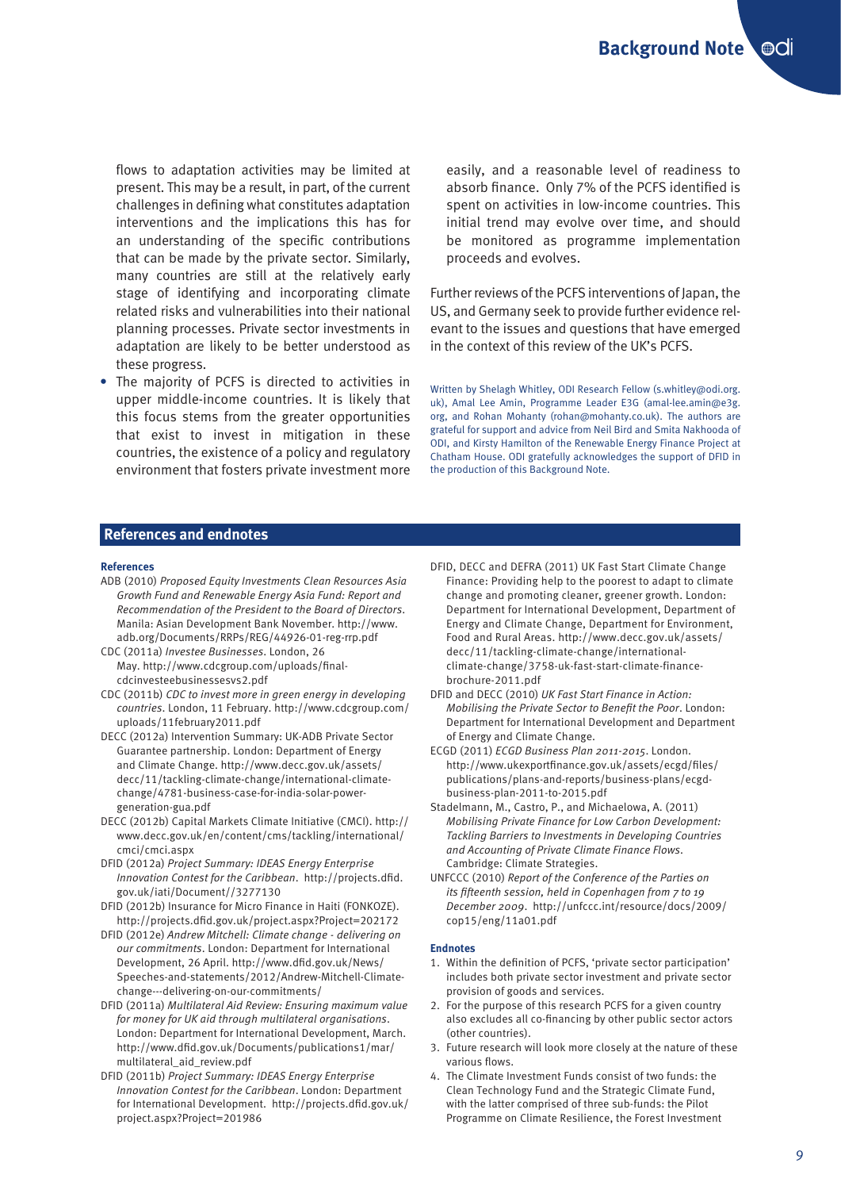flows to adaptation activities may be limited at present. This may be a result, in part, of the current challenges in defining what constitutes adaptation interventions and the implications this has for an understanding of the specific contributions that can be made by the private sector. Similarly, many countries are still at the relatively early stage of identifying and incorporating climate related risks and vulnerabilities into their national planning processes. Private sector investments in adaptation are likely to be better understood as these progress.

**•** The majority of PCFS is directed to activities in upper middle-income countries. It is likely that this focus stems from the greater opportunities that exist to invest in mitigation in these countries, the existence of a policy and regulatory environment that fosters private investment more

easily, and a reasonable level of readiness to absorb finance. Only 7% of the PCFS identified is spent on activities in low-income countries. This initial trend may evolve over time, and should be monitored as programme implementation proceeds and evolves.

Further reviews of the PCFS interventions of Japan, the US, and Germany seek to provide further evidence relevant to the issues and questions that have emerged in the context of this review of the UK's PCFS.

Written by Shelagh Whitley, ODI Research Fellow (s.whitley@odi.org. uk), Amal Lee Amin, Programme Leader E3G (amal-lee.amin@e3g. org, and Rohan Mohanty (rohan@mohanty.co.uk). The authors are grateful for support and advice from Neil Bird and Smita Nakhooda of ODI, and Kirsty Hamilton of the Renewable Energy Finance Project at Chatham House. ODI gratefully acknowledges the support of DFID in the production of this Background Note.

#### **References and endnotes**

#### **References**

- ADB (2010) *Proposed Equity Investments Clean Resources Asia Growth Fund and Renewable Energy Asia Fund: Report and Recommendation of the President to the Board of Directors*. Manila: Asian Development Bank November. http://www. adb.org/Documents/RRPs/REG/44926-01-reg-rrp.pdf
- CDC (2011a) *Investee Businesses*. London, 26 May. http://www.cdcgroup.com/uploads/finalcdcinvesteebusinessesvs2.pdf
- CDC (2011b) *CDC to invest more in green energy in developing countries*. London, 11 February. http://www.cdcgroup.com/ uploads/11february2011.pdf
- DECC (2012a) Intervention Summary: UK-ADB Private Sector Guarantee partnership. London: Department of Energy and Climate Change. http://www.decc.gov.uk/assets/ decc/11/tackling-climate-change/international-climatechange/4781-business-case-for-india-solar-powergeneration-gua.pdf
- DECC (2012b) Capital Markets Climate Initiative (CMCI). http:// www.decc.gov.uk/en/content/cms/tackling/international/ cmci/cmci.aspx
- DFID (2012a) *Project Summary: IDEAS Energy Enterprise Innovation Contest for the Caribbean*. http://projects.dfid. gov.uk/iati/Document//3277130
- DFID (2012b) Insurance for Micro Finance in Haiti (FONKOZE). http://projects.dfid.gov.uk/project.aspx?Project=202172
- DFID (2012e) *Andrew Mitchell: Climate change delivering on our commitments*. London: Department for International Development, 26 April. http://www.dfid.gov.uk/News/ Speeches-and-statements/2012/Andrew-Mitchell-Climatechange---delivering-on-our-commitments/
- DFID (2011a) *Multilateral Aid Review: Ensuring maximum value for money for UK aid through multilateral organisations*. London: Department for International Development, March. http://www.dfid.gov.uk/Documents/publications1/mar/ multilateral\_aid\_review.pdf
- DFID (2011b) *Project Summary: IDEAS Energy Enterprise Innovation Contest for the Caribbean*. London: Department for International Development. http://projects.dfid.gov.uk/ project.aspx?Project=201986
- DFID, DECC and DEFRA (2011) UK Fast Start Climate Change Finance: Providing help to the poorest to adapt to climate change and promoting cleaner, greener growth. London: Department for International Development, Department of Energy and Climate Change, Department for Environment, Food and Rural Areas. http://www.decc.gov.uk/assets/ decc/11/tackling-climate-change/internationalclimate-change/3758-uk-fast-start-climate-financebrochure-2011.pdf
- DFID and DECC (2010) *UK Fast Start Finance in Action: Mobilising the Private Sector to Benefit the Poor*. London: Department for International Development and Department of Energy and Climate Change.
- ECGD (2011) *ECGD Business Plan 2011-2015*. London. http://www.ukexportfinance.gov.uk/assets/ecgd/files/ publications/plans-and-reports/business-plans/ecgdbusiness-plan-2011-to-2015.pdf
- Stadelmann, M., Castro, P., and Michaelowa, A. (2011) *Mobilising Private Finance for Low Carbon Development: Tackling Barriers to Investments in Developing Countries and Accounting of Private Climate Finance Flows*. Cambridge: Climate Strategies.
- UNFCCC (2010) *Report of the Conference of the Parties on its fifteenth session, held in Copenhagen from 7 to 19 December 2009*. http://unfccc.int/resource/docs/2009/ cop15/eng/11a01.pdf

#### **Endnotes**

- 1. Within the definition of PCFS, 'private sector participation' includes both private sector investment and private sector provision of goods and services.
- 2. For the purpose of this research PCFS for a given country also excludes all co-financing by other public sector actors (other countries).
- 3. Future research will look more closely at the nature of these various flows.
- 4. The Climate Investment Funds consist of two funds: the Clean Technology Fund and the Strategic Climate Fund, with the latter comprised of three sub-funds: the Pilot Programme on Climate Resilience, the Forest Investment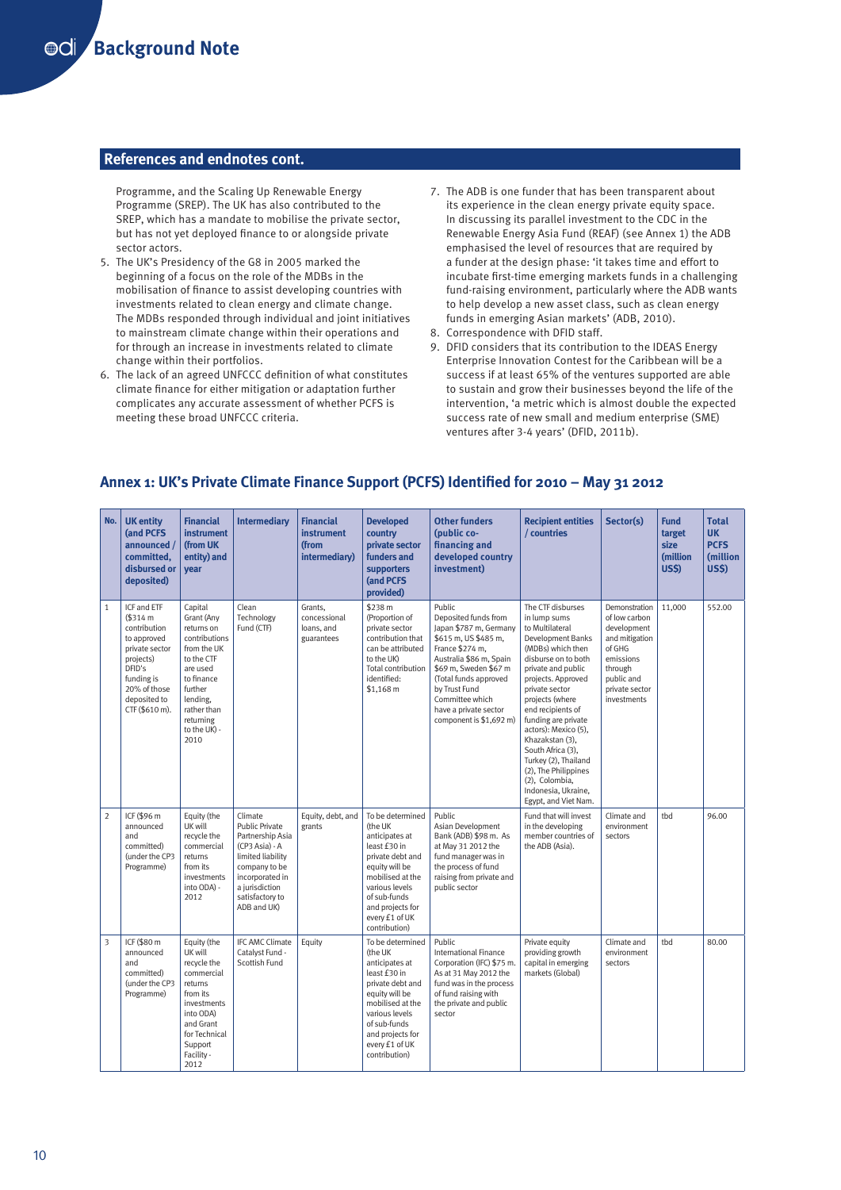#### **References and endnotes cont.**

Programme, and the Scaling Up Renewable Energy Programme (SREP). The UK has also contributed to the SREP, which has a mandate to mobilise the private sector, but has not yet deployed finance to or alongside private sector actors.

- 5. The UK's Presidency of the G8 in 2005 marked the beginning of a focus on the role of the MDBs in the mobilisation of finance to assist developing countries with investments related to clean energy and climate change. The MDBs responded through individual and joint initiatives to mainstream climate change within their operations and for through an increase in investments related to climate change within their portfolios.
- 6. The lack of an agreed UNFCCC definition of what constitutes climate finance for either mitigation or adaptation further complicates any accurate assessment of whether PCFS is meeting these broad UNFCCC criteria.
- 7. The ADB is one funder that has been transparent about its experience in the clean energy private equity space. In discussing its parallel investment to the CDC in the Renewable Energy Asia Fund (REAF) (see Annex 1) the ADB emphasised the level of resources that are required by a funder at the design phase: 'it takes time and effort to incubate first-time emerging markets funds in a challenging fund-raising environment, particularly where the ADB wants to help develop a new asset class, such as clean energy funds in emerging Asian markets' (ADB, 2010).
- 8. Correspondence with DFID staff.
- 9. DFID considers that its contribution to the IDEAS Energy Enterprise Innovation Contest for the Caribbean will be a success if at least 65% of the ventures supported are able to sustain and grow their businesses beyond the life of the intervention, 'a metric which is almost double the expected success rate of new small and medium enterprise (SME) ventures after 3-4 years' (DFID, 2011b).

|                | No.   UK entity<br>(and PCFS<br>announced /<br>committed.<br>disbursed or<br>deposited)                                                                        | <b>Financial</b><br><b>instrument</b><br>(from UK<br>entity) and<br>vear                                                                                                               | <b>Intermediary</b>                                                                                                                                                          | <b>Financial</b><br><b>instrument</b><br>(from<br>intermediary) | <b>Developed</b><br>country<br>private sector<br>funders and<br>supporters<br>(and PCFS<br>provided)                                                                                                             | <b>Other funders</b><br>(public co-<br>financing and<br>developed country<br>investment)                                                                                                                                                                                 | <b>Recipient entities</b><br>/ countries                                                                                                                                                                                                                                                                                                                                                                                            | Sector(s)                                                                                                                                        | <b>Fund</b><br>target<br>size<br><b>(million)</b><br><b>US\$)</b> | <b>Total</b><br><b>UK</b><br><b>PCFS</b><br><b>(million)</b><br><b>US\$)</b> |
|----------------|----------------------------------------------------------------------------------------------------------------------------------------------------------------|----------------------------------------------------------------------------------------------------------------------------------------------------------------------------------------|------------------------------------------------------------------------------------------------------------------------------------------------------------------------------|-----------------------------------------------------------------|------------------------------------------------------------------------------------------------------------------------------------------------------------------------------------------------------------------|--------------------------------------------------------------------------------------------------------------------------------------------------------------------------------------------------------------------------------------------------------------------------|-------------------------------------------------------------------------------------------------------------------------------------------------------------------------------------------------------------------------------------------------------------------------------------------------------------------------------------------------------------------------------------------------------------------------------------|--------------------------------------------------------------------------------------------------------------------------------------------------|-------------------------------------------------------------------|------------------------------------------------------------------------------|
| $\mathbf{1}$   | ICF and ETF<br>\$314 m<br>contribution<br>to approved<br>private sector<br>projects)<br>DFID's<br>funding is<br>20% of those<br>deposited to<br>CTF (\$610 m). | Capital<br>Grant (Any<br>returns on<br>contributions<br>from the UK<br>to the CTF<br>are used<br>to finance<br>further<br>lending,<br>rather than<br>returning<br>to the UK) -<br>2010 | Clean<br>Technology<br>Fund (CTF)                                                                                                                                            | Grants.<br>concessional<br>loans, and<br>guarantees             | \$238 m<br>(Proportion of<br>private sector<br>contribution that<br>can be attributed<br>to the UK)<br>Total contribution<br>identified:<br>\$1,168 m                                                            | Public<br>Deposited funds from<br>Japan \$787 m, Germany<br>\$615 m, US \$485 m,<br>France \$274 m,<br>Australia \$86 m, Spain<br>\$69 m, Sweden \$67 m<br>(Total funds approved<br>by Trust Fund<br>Committee which<br>have a private sector<br>component is \$1,692 m) | The CTF disburses<br>in lump sums<br>to Multilateral<br>Development Banks<br>(MDBs) which then<br>disburse on to both<br>private and public<br>projects. Approved<br>private sector<br>projects (where<br>end recipients of<br>funding are private<br>actors): Mexico (5),<br>Khazakstan (3),<br>South Africa (3),<br>Turkey (2), Thailand<br>(2), The Philippines<br>(2), Colombia,<br>Indonesia, Ukraine,<br>Egypt, and Viet Nam. | Demonstration<br>of low carbon<br>development<br>and mitigation<br>of GHG<br>emissions<br>through<br>public and<br>private sector<br>investments | 11.000                                                            | 552.00                                                                       |
| $\overline{2}$ | ICF (\$96 m<br>announced<br>and<br>committed)<br>(under the CP3<br>Programme)                                                                                  | Equity (the<br>UK will<br>recycle the<br>commercial<br>returns<br>from its<br>investments<br>into ODA) -<br>2012                                                                       | Climate<br>Public Private<br>Partnership Asia<br>(CP3 Asia) - A<br>limited liability<br>company to be<br>incorporated in<br>a jurisdiction<br>satisfactory to<br>ADB and UK) | Equity, debt, and<br>grants                                     | To be determined<br>(the UK<br>anticipates at<br>least £30 in<br>private debt and<br>equity will be<br>mobilised at the<br>various levels<br>of sub-funds<br>and projects for<br>every £1 of UK<br>contribution) | Public<br>Asian Development<br>Bank (ADB) \$98 m. As<br>at May 31 2012 the<br>fund manager was in<br>the process of fund<br>raising from private and<br>public sector                                                                                                    | Fund that will invest<br>in the developing<br>member countries of<br>the ADB (Asia).                                                                                                                                                                                                                                                                                                                                                | Climate and<br>environment<br>sectors                                                                                                            | tbd                                                               | 96.00                                                                        |
| 3              | ICF (\$80 m<br>announced<br>and<br>committed)<br>(under the CP3<br>Programme)                                                                                  | Equity (the<br>UK will<br>recycle the<br>commercial<br>returns<br>from its<br>investments<br>into ODA)<br>and Grant<br>for Technical<br>Support<br>Facility -<br>2012                  | <b>IFC AMC Climate</b><br>Catalyst Fund -<br>Scottish Fund                                                                                                                   | Equity                                                          | To be determined<br>(the UK<br>anticipates at<br>least £30 in<br>private debt and<br>equity will be<br>mobilised at the<br>various levels<br>of sub-funds<br>and projects for<br>every £1 of UK<br>contribution) | Public<br><b>International Finance</b><br>Corporation (IFC) \$75 m.<br>As at 31 May 2012 the<br>fund was in the process<br>of fund raising with<br>the private and public<br>sector                                                                                      | Private equity<br>providing growth<br>capital in emerging<br>markets (Global)                                                                                                                                                                                                                                                                                                                                                       | Climate and<br>environment<br>sectors                                                                                                            | thd                                                               | 80.00                                                                        |

#### **Annex 1: UK's Private Climate Finance Support (PCFS) Identified for 2010 – May 31 2012**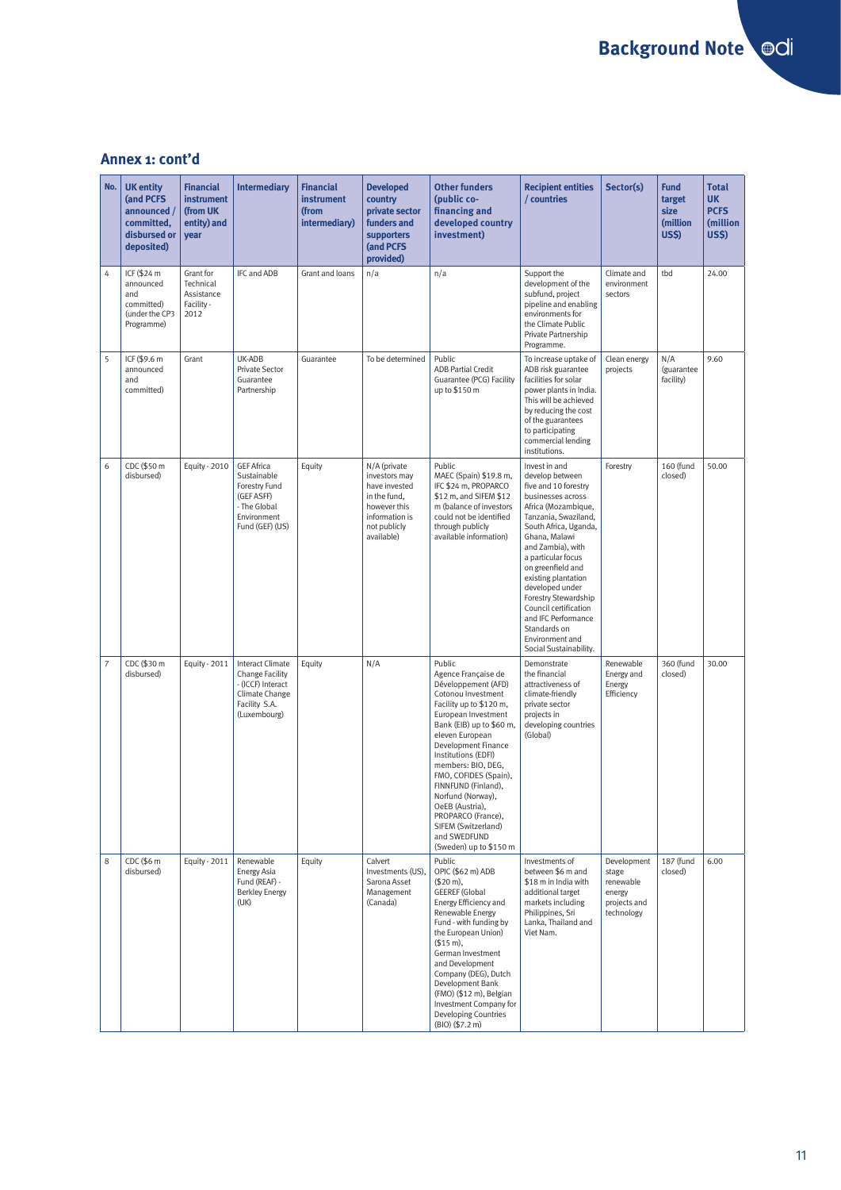# **Annex 1: cont'd**

| No.            | <b>UK entity</b><br>(and PCFS<br>announced /<br>committed,<br>disbursed or<br>deposited) | <b>Financial</b><br><b>instrument</b><br>(from UK<br>entity) and<br>year | <b>Intermediary</b>                                                                                               | <b>Financial</b><br>instrument<br>(from<br>intermediary) | <b>Developed</b><br>country<br>private sector<br>funders and<br>supporters<br>(and PCFS<br>provided)                           | <b>Other funders</b><br>(public co-<br>financing and<br>developed country<br>investment)                                                                                                                                                                                                                                                                                                                                       | <b>Recipient entities</b><br>/ countries                                                                                                                                                                                                                                                                                                                                                                              | Sector(s)                                                                 | <b>Fund</b><br>target<br>size<br>(million<br><b>US\$)</b> | <b>Total</b><br><b>UK</b><br><b>PCFS</b><br>(million<br><b>US\$)</b> |
|----------------|------------------------------------------------------------------------------------------|--------------------------------------------------------------------------|-------------------------------------------------------------------------------------------------------------------|----------------------------------------------------------|--------------------------------------------------------------------------------------------------------------------------------|--------------------------------------------------------------------------------------------------------------------------------------------------------------------------------------------------------------------------------------------------------------------------------------------------------------------------------------------------------------------------------------------------------------------------------|-----------------------------------------------------------------------------------------------------------------------------------------------------------------------------------------------------------------------------------------------------------------------------------------------------------------------------------------------------------------------------------------------------------------------|---------------------------------------------------------------------------|-----------------------------------------------------------|----------------------------------------------------------------------|
| 4              | ICF (\$24 m<br>announced<br>and<br>committed)<br>(under the CP3<br>Programme)            | Grant for<br>Technical<br>Assistance<br>Facility -<br>2012               | IFC and ADB                                                                                                       | Grant and loans                                          | n/a                                                                                                                            | n/a                                                                                                                                                                                                                                                                                                                                                                                                                            | Support the<br>development of the<br>subfund, project<br>pipeline and enabling<br>environments for<br>the Climate Public<br>Private Partnership<br>Programme.                                                                                                                                                                                                                                                         | Climate and<br>environment<br>sectors                                     | tbd                                                       | 24.00                                                                |
| 5              | ICF (\$9.6 m<br>announced<br>and<br>committed)                                           | Grant                                                                    | UK-ADB<br>Private Sector<br>Guarantee<br>Partnership                                                              | Guarantee                                                | To be determined                                                                                                               | Public<br><b>ADB Partial Credit</b><br>Guarantee (PCG) Facility<br>up to \$150 m                                                                                                                                                                                                                                                                                                                                               | To increase uptake of<br>ADB risk guarantee<br>facilities for solar<br>power plants in India.<br>This will be achieved<br>by reducing the cost<br>of the guarantees<br>to participating<br>commercial lending<br>institutions.                                                                                                                                                                                        | Clean energy<br>projects                                                  | N/A<br>(guarantee<br>facility)                            | 9.60                                                                 |
| 6              | CDC (\$50 m<br>disbursed)                                                                | Equity - 2010                                                            | <b>GEF Africa</b><br>Sustainable<br>Forestry Fund<br>(GEF ASFF)<br>- The Global<br>Environment<br>Fund (GEF) (US) | Equity                                                   | N/A (private<br>investors may<br>have invested<br>in the fund.<br>however this<br>information is<br>not publicly<br>available) | Public<br>MAEC (Spain) \$19.8 m,<br>IFC \$24 m, PROPARCO<br>\$12 m, and SIFEM \$12<br>m (balance of investors<br>could not be identified<br>through publicly<br>available information)                                                                                                                                                                                                                                         | Invest in and<br>develop between<br>five and 10 forestry<br>businesses across<br>Africa (Mozambique,<br>Tanzania, Swaziland,<br>South Africa, Uganda,<br>Ghana, Malawi<br>and Zambia), with<br>a particular focus<br>on greenfield and<br>existing plantation<br>developed under<br>Forestry Stewardship<br>Council certification<br>and IFC Performance<br>Standards on<br>Environment and<br>Social Sustainability. | Forestry                                                                  | 160 (fund<br>closed)                                      | 50.00                                                                |
| $\overline{7}$ | CDC (\$30 m<br>disbursed)                                                                | Equity - 2011                                                            | Interact Climate<br>Change Facility<br>- (ICCF) Interact<br>Climate Change<br>Facility S.A.<br>(Luxembourg)       | Equity                                                   | N/A                                                                                                                            | Public<br>Agence Française de<br>Développement (AFD)<br>Cotonou Investment<br>Facility up to \$120 m,<br>European Investment<br>Bank (EIB) up to \$60 m,<br>eleven European<br>Development Finance<br>Institutions (EDFI)<br>members: BIO, DEG,<br>FMO, COFIDES (Spain),<br>FINNFUND (Finland),<br>Norfund (Norway),<br>OeEB (Austria),<br>PROPARCO (France),<br>SIFEM (Switzerland)<br>and SWEDFUND<br>(Sweden) up to \$150 m | Demonstrate<br>the financial<br>attractiveness of<br>climate-friendly<br>private sector<br>projects in<br>developing countries<br>(Global)                                                                                                                                                                                                                                                                            | Renewable<br>Energy and<br>Energy<br>Efficiency                           | 360 (fund<br>closed)                                      | 30.00                                                                |
| 8              | CDC (\$6 m<br>disbursed)                                                                 | Equity - 2011                                                            | Renewable<br>Energy Asia<br>Fund (REAF) -<br><b>Berkley Energy</b><br>(UK)                                        | Equity                                                   | Calvert<br>Investments (US).<br>Sarona Asset<br>Management<br>(Canada)                                                         | Public<br>OPIC (\$62 m) ADB<br>(\$20 m),<br><b>GEEREF</b> (Global<br>Energy Efficiency and<br>Renewable Energy<br>Fund - with funding by<br>the European Union)<br>(\$15 m),<br>German Investment<br>and Development<br>Company (DEG), Dutch<br>Development Bank<br>(FMO) (\$12 m), Belgian<br>Investment Company for<br>Developing Countries<br>(BIO) (\$7.2 m)                                                               | Investments of<br>between \$6 m and<br>\$18 m in India with<br>additional target<br>markets including<br>Philippines, Sri<br>Lanka, Thailand and<br>Viet Nam.                                                                                                                                                                                                                                                         | Development<br>stage<br>renewable<br>energy<br>projects and<br>technology | 187 (fund<br>closed)                                      | 6.00                                                                 |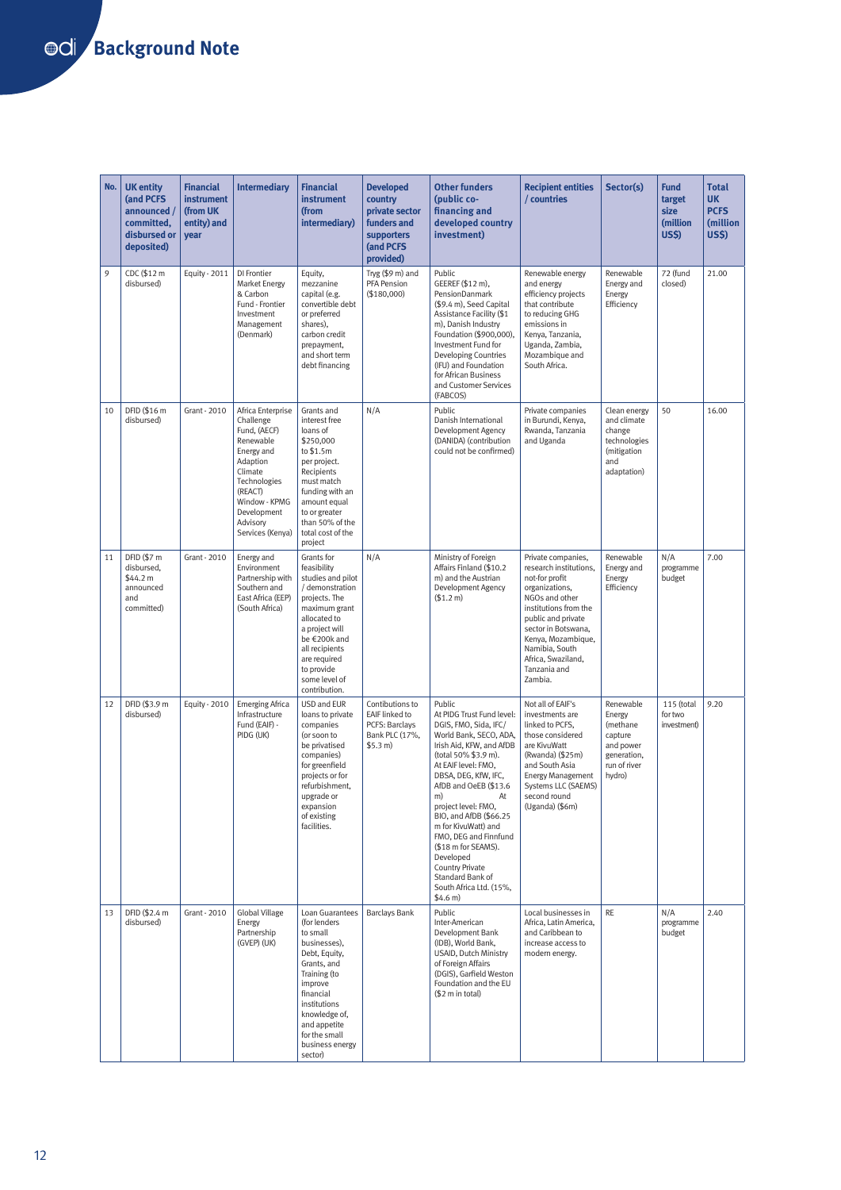| No. | <b>UK entity</b><br>(and PCFS<br>announced /<br>committed,<br>disbursed or<br>deposited) | <b>Financial</b><br><b>instrument</b><br>(from UK<br>entity) and<br>year | <b>Intermediary</b>                                                                                                                                                                         | <b>Financial</b><br><b>instrument</b><br>(from<br>intermediary)                                                                                                                                                                         | <b>Developed</b><br>country<br>private sector<br>funders and<br>supporters<br>(and PCFS<br>provided) | <b>Other funders</b><br>(public co-<br>financing and<br>developed country<br>investment)                                                                                                                                                                                                                                                                                                                                                          | <b>Recipient entities</b><br>/ countries                                                                                                                                                                                                                          | Sector(s)                                                                                        | <b>Fund</b><br>target<br>size<br>(million<br><b>US\$)</b> | Total<br>UK<br><b>PCFS</b><br>(million<br><b>US\$)</b> |
|-----|------------------------------------------------------------------------------------------|--------------------------------------------------------------------------|---------------------------------------------------------------------------------------------------------------------------------------------------------------------------------------------|-----------------------------------------------------------------------------------------------------------------------------------------------------------------------------------------------------------------------------------------|------------------------------------------------------------------------------------------------------|---------------------------------------------------------------------------------------------------------------------------------------------------------------------------------------------------------------------------------------------------------------------------------------------------------------------------------------------------------------------------------------------------------------------------------------------------|-------------------------------------------------------------------------------------------------------------------------------------------------------------------------------------------------------------------------------------------------------------------|--------------------------------------------------------------------------------------------------|-----------------------------------------------------------|--------------------------------------------------------|
| 9   | CDC (\$12 m<br>disbursed)                                                                | Equity - 2011                                                            | DI Frontier<br><b>Market Energy</b><br>& Carbon<br>Fund - Frontier<br>Investment<br>Management<br>(Denmark)                                                                                 | Equity,<br>mezzanine<br>capital (e.g.<br>convertible debt<br>or preferred<br>shares),<br>carbon credit<br>prepayment,<br>and short term<br>debt financing                                                                               | Tryg (\$9 m) and<br>PFA Pension<br>(\$180,000)                                                       | Public<br>GEEREF (\$12 m),<br>PensionDanmark<br>(\$9.4 m), Seed Capital<br>Assistance Facility (\$1<br>m), Danish Industry<br>Foundation (\$900,000),<br>Investment Fund for<br><b>Developing Countries</b><br>(IFU) and Foundation<br>for African Business<br>and Customer Services<br>(FABCOS)                                                                                                                                                  | Renewable energy<br>and energy<br>efficiency projects<br>that contribute<br>to reducing GHG<br>emissions in<br>Kenya, Tanzania,<br>Uganda, Zambia,<br>Mozambique and<br>South Africa.                                                                             | Renewable<br>Energy and<br>Energy<br>Efficiency                                                  | 72 (fund<br>closed)                                       | 21.00                                                  |
| 10  | DFID (\$16 m<br>disbursed)                                                               | Grant - 2010                                                             | Africa Enterprise<br>Challenge<br>Fund, (AECF)<br>Renewable<br>Energy and<br>Adaption<br>Climate<br>Technologies<br>(REACT)<br>Window - KPMG<br>Development<br>Advisorv<br>Services (Kenya) | Grants and<br>interest free<br>loans of<br>\$250,000<br>to \$1.5m<br>per project.<br>Recipients<br>must match<br>funding with an<br>amount equal<br>to or greater<br>than 50% of the<br>total cost of the<br>project                    | N/A                                                                                                  | Public<br>Danish International<br>Development Agency<br>(DANIDA) (contribution<br>could not be confirmed)                                                                                                                                                                                                                                                                                                                                         | Private companies<br>in Burundi, Kenya,<br>Rwanda, Tanzania<br>and Uganda                                                                                                                                                                                         | Clean energy<br>and climate<br>change<br>technologies<br>(mitigation<br>and<br>adaptation)       | 50                                                        | 16.00                                                  |
| 11  | DFID (\$7 m<br>disbursed,<br>\$44.2 m<br>announced<br>and<br>committed)                  | Grant - 2010                                                             | Energy and<br>Environment<br>Partnership with<br>Southem and<br>East Africa (EEP)<br>(South Africa)                                                                                         | Grants for<br>feasibility<br>studies and pilot<br>/ demonstration<br>projects. The<br>maximum grant<br>allocated to<br>a project will<br>be €200k and<br>all recipients<br>are required<br>to provide<br>some level of<br>contribution. | N/A                                                                                                  | Ministry of Foreign<br>Affairs Finland (\$10.2<br>m) and the Austrian<br>Development Agency<br>(\$1.2 m)                                                                                                                                                                                                                                                                                                                                          | Private companies,<br>research institutions,<br>not-for profit<br>organizations,<br>NGOs and other<br>institutions from the<br>public and private<br>sector in Botswana,<br>Kenya, Mozambique,<br>Namibia, South<br>Africa, Swaziland,<br>Tanzania and<br>Zambia. | Renewable<br>Energy and<br>Energy<br>Efficiency                                                  | N/A<br>programme<br>budget                                | 7.00                                                   |
| 12  | DFID (\$3.9 m<br>disbursed)                                                              | Equity - 2010                                                            | <b>Emerging Africa</b><br>Infrastructure<br>Fund (EAIF) -<br>PIDG (UK)                                                                                                                      | USD and EUR<br>loans to private<br>companies<br>(or soon to<br>be privatised<br>companies)<br>for greenfield<br>projects or for<br>refurbishment.<br>upgrade or<br>expansion<br>of existing<br>facilities.                              | Contibutions to<br>EAIF linked to<br>PCFS: Barclays<br>Bank PLC (17%,<br>\$5.3 m)                    | Public<br>At PIDG Trust Fund level:<br>DGIS, FMO, Sida, IFC/<br>World Bank, SECO, ADA,<br>Irish Aid, KFW, and AfDB<br>(total 50% \$3.9 m).<br>At EAIF level: FMO,<br>DBSA, DEG, KfW, IFC,<br>AfDB and OeEB (\$13.6<br>m)<br>At<br>project level: FMO.<br>BIO, and AfDB (\$66.25<br>m for KivuWatt) and<br>FMO, DEG and Finnfund<br>(\$18 m for SEAMS).<br>Developed<br>Country Private<br>Standard Bank of<br>South Africa Ltd. (15%,<br>\$4.6 m) | Not all of EAIF's<br>investments are<br>linked to PCFS,<br>those considered<br>are KivuWatt<br>(Rwanda) (\$25m)<br>and South Asia<br><b>Energy Management</b><br>Systems LLC (SAEMS)<br>second round<br>(Uganda) (\$6m)                                           | Renewable<br>Energy<br>(methane<br>capture<br>and power<br>generation,<br>run of river<br>hydro) | 115 (total<br>for two<br>investment)                      | 9.20                                                   |
| 13  | DFID (\$2.4 m<br>disbursed)                                                              | Grant - 2010                                                             | Global Village<br>Energy<br>Partnership<br>(GVEP) (UK)                                                                                                                                      | Loan Guarantees<br>(for lenders<br>to small<br>businesses),<br>Debt, Equity,<br>Grants, and<br>Training (to<br>improve<br>financial<br>institutions<br>knowledge of,<br>and appetite<br>for the small<br>business energy<br>sector)     | <b>Barclays Bank</b>                                                                                 | Public<br>Inter-American<br>Development Bank<br>(IDB), World Bank,<br>USAID, Dutch Ministry<br>of Foreign Affairs<br>(DGIS), Garfield Weston<br>Foundation and the EU<br>(\$2 m in total)                                                                                                                                                                                                                                                         | Local businesses in<br>Africa, Latin America,<br>and Caribbean to<br>increase access to<br>modern energy.                                                                                                                                                         | RE                                                                                               | N/A<br>programme<br>budget                                | 2.40                                                   |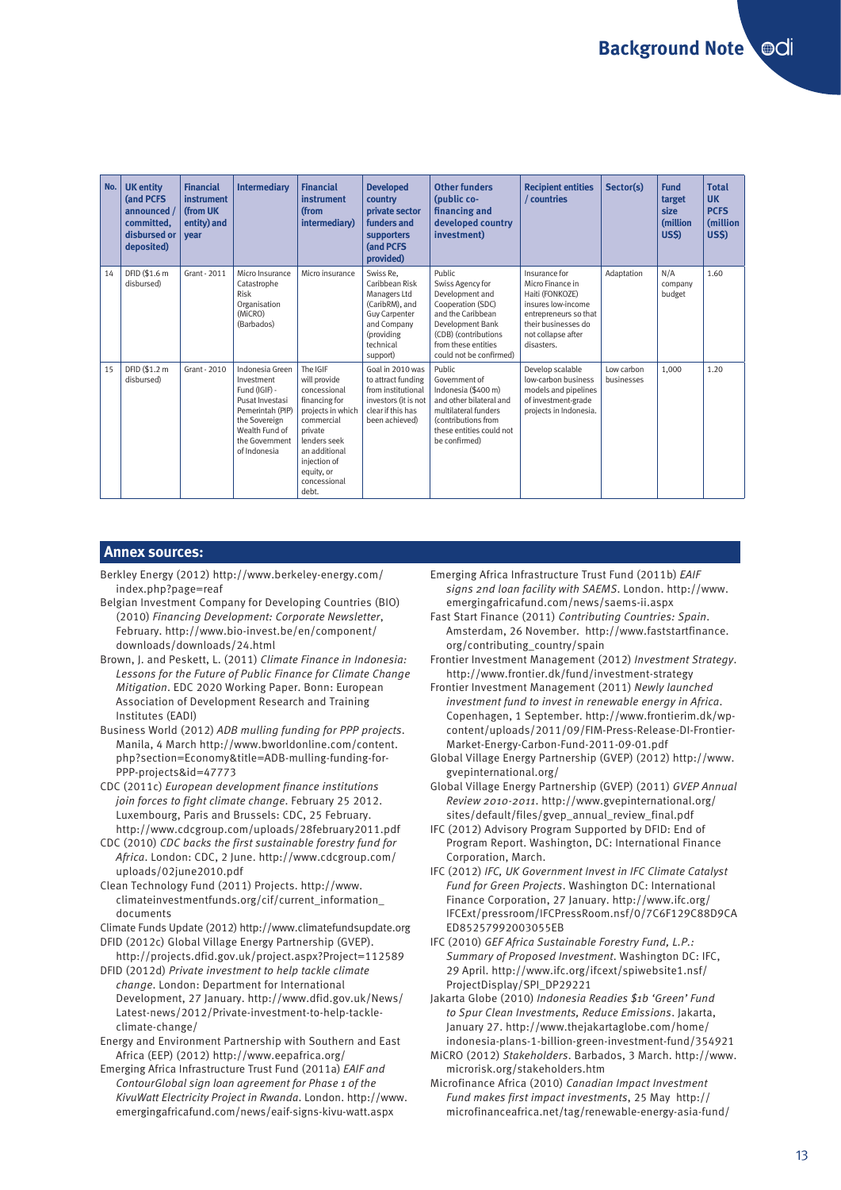| No. | <b>UK entity</b><br>(and PCFS<br>announced /<br>committed.<br>disbursed or<br>deposited) | <b>Financial</b><br>instrument<br>(from UK<br>entity) and<br>year | <b>Intermediary</b>                                                                                                                                        | <b>Financial</b><br><b>instrument</b><br>(from<br>intermediary)                                                                                                                                 | <b>Developed</b><br>country<br>private sector<br>funders and<br>supporters<br>(and PCFS<br>provided)                                        | <b>Other funders</b><br>(public co-<br>financing and<br>developed country<br>investment)                                                                                                     | <b>Recipient entities</b><br>/ countries                                                                                                                       | Sector(s)                | <b>Fund</b><br>target<br>size<br>(million<br><b>US\$)</b> | <b>Total</b><br><b>UK</b><br><b>PCFS</b><br>(million<br><b>US\$)</b> |
|-----|------------------------------------------------------------------------------------------|-------------------------------------------------------------------|------------------------------------------------------------------------------------------------------------------------------------------------------------|-------------------------------------------------------------------------------------------------------------------------------------------------------------------------------------------------|---------------------------------------------------------------------------------------------------------------------------------------------|----------------------------------------------------------------------------------------------------------------------------------------------------------------------------------------------|----------------------------------------------------------------------------------------------------------------------------------------------------------------|--------------------------|-----------------------------------------------------------|----------------------------------------------------------------------|
| 14  | DFID (\$1.6 m<br>disbursed)                                                              | Grant - 2011                                                      | Micro Insurance<br>Catastrophe<br>Risk<br>Organisation<br>(MiCRO)<br>(Barbados)                                                                            | Micro insurance                                                                                                                                                                                 | Swiss Re.<br>Caribbean Risk<br>Managers Ltd<br>(CaribRM), and<br><b>Guy Carpenter</b><br>and Company<br>(providing<br>technical<br>support) | <b>Public</b><br>Swiss Agency for<br>Development and<br>Cooperation (SDC)<br>and the Caribbean<br>Development Bank<br>(CDB) (contributions<br>from these entities<br>could not be confirmed) | Insurance for<br>Micro Finance in<br>Haiti (FONKOZE)<br>insures low-income<br>entrepreneurs so that<br>their businesses do<br>not collapse after<br>disasters. | Adaptation               | N/A<br>company<br>budget                                  | 1.60                                                                 |
| 15  | DFID (\$1.2 m<br>disbursed)                                                              | Grant - 2010                                                      | Indonesia Green<br>Investment<br>Fund (IGIF) -<br>Pusat Investasi<br>Pemerintah (PIP)<br>the Sovereign<br>Wealth Fund of<br>the Government<br>of Indonesia | The IGIF<br>will provide<br>concessional<br>financing for<br>projects in which<br>commercial<br>private<br>lenders seek<br>an additional<br>injection of<br>equity, or<br>concessional<br>debt. | Goal in 2010 was<br>to attract funding<br>from institutional<br>investors (it is not<br>clear if this has<br>been achieved)                 | <b>Public</b><br>Government of<br>Indonesia (\$400 m)<br>and other bilateral and<br>multilateral funders<br>(contributions from<br>these entities could not<br>be confirmed)                 | Develop scalable<br>low-carbon business<br>models and pipelines<br>of investment-grade<br>projects in Indonesia.                                               | Low carbon<br>businesses | 1,000                                                     | 1.20                                                                 |

#### **Annex sources:**

- Berkley Energy (2012) http://www.berkeley-energy.com/ index.php?page=reaf
- Belgian Investment Company for Developing Countries (BIO) (2010) *Financing Development: Corporate Newsletter*, February. http://www.bio-invest.be/en/component/ downloads/downloads/24.html
- Brown, J. and Peskett, L. (2011) *Climate Finance in Indonesia: Lessons for the Future of Public Finance for Climate Change Mitigation*. EDC 2020 Working Paper. Bonn: European Association of Development Research and Training Institutes (EADI)
- Business World (2012) *ADB mulling funding for PPP projects*. Manila, 4 March http://www.bworldonline.com/content. php?section=Economy&title=ADB-mulling-funding-for-PPP-projects&id=47773
- CDC (2011c) *European development finance institutions join forces to fight climate change*. February 25 2012. Luxembourg, Paris and Brussels: CDC, 25 February. http://www.cdcgroup.com/uploads/28february2011.pdf
- CDC (2010) *CDC backs the first sustainable forestry fund for Africa*. London: CDC, 2 June. http://www.cdcgroup.com/ uploads/02june2010.pdf
- Clean Technology Fund (2011) Projects. http://www. climateinvestmentfunds.org/cif/current\_information\_ documents

Climate Funds Update (2012) http://www.climatefundsupdate.org DFID (2012c) Global Village Energy Partnership (GVEP).

http://projects.dfid.gov.uk/project.aspx?Project=112589 DFID (2012d) *Private investment to help tackle climate* 

- *change*. London: Department for International Development, 27 January. http://www.dfid.gov.uk/News/ Latest-news/2012/Private-investment-to-help-tackleclimate-change/
- Energy and Environment Partnership with Southern and East Africa (EEP) (2012) http://www.eepafrica.org/
- Emerging Africa Infrastructure Trust Fund (2011a) *EAIF and ContourGlobal sign loan agreement for Phase 1 of the KivuWatt Electricity Project in Rwanda*. London. http://www. emergingafricafund.com/news/eaif-signs-kivu-watt.aspx
- Emerging Africa Infrastructure Trust Fund (2011b) *EAIF signs 2nd loan facility with SAEMS*. London. http://www. emergingafricafund.com/news/saems-ii.aspx
- Fast Start Finance (2011) *Contributing Countries: Spain*. Amsterdam, 26 November. http://www.faststartfinance. org/contributing\_country/spain
- Frontier Investment Management (2012) *Investment Strategy*. http://www.frontier.dk/fund/investment-strategy
- Frontier Investment Management (2011) *Newly launched investment fund to invest in renewable energy in Africa*. Copenhagen, 1 September. http://www.frontierim.dk/wpcontent/uploads/2011/09/FIM-Press-Release-DI-Frontier-Market-Energy-Carbon-Fund-2011-09-01.pdf
- Global Village Energy Partnership (GVEP) (2012) http://www. gvepinternational.org/
- Global Village Energy Partnership (GVEP) (2011) *GVEP Annual Review 2010-2011*. http://www.gvepinternational.org/ sites/default/files/gvep\_annual\_review\_final.pdf
- IFC (2012) Advisory Program Supported by DFID: End of Program Report. Washington, DC: International Finance Corporation, March.
- IFC (2012) *IFC, UK Government Invest in IFC Climate Catalyst Fund for Green Projects*. Washington DC: International Finance Corporation, 27 January. http://www.ifc.org/ IFCExt/pressroom/IFCPressRoom.nsf/0/7C6F129C88D9CA ED85257992003055EB
- IFC (2010) *GEF Africa Sustainable Forestry Fund, L.P.: Summary of Proposed Investment*. Washington DC: IFC, 29 April. http://www.ifc.org/ifcext/spiwebsite1.nsf/ ProjectDisplay/SPI\_DP29221
- Jakarta Globe (2010) *Indonesia Readies \$1b 'Green' Fund to Spur Clean Investments, Reduce Emissions*. Jakarta, January 27. http://www.thejakartaglobe.com/home/ indonesia-plans-1-billion-green-investment-fund/354921
- MiCRO (2012) *Stakeholders*. Barbados, 3 March. http://www. microrisk.org/stakeholders.htm
- Microfinance Africa (2010) *Canadian Impact Investment Fund makes first impact investments*, 25 May http:// microfinanceafrica.net/tag/renewable-energy-asia-fund/